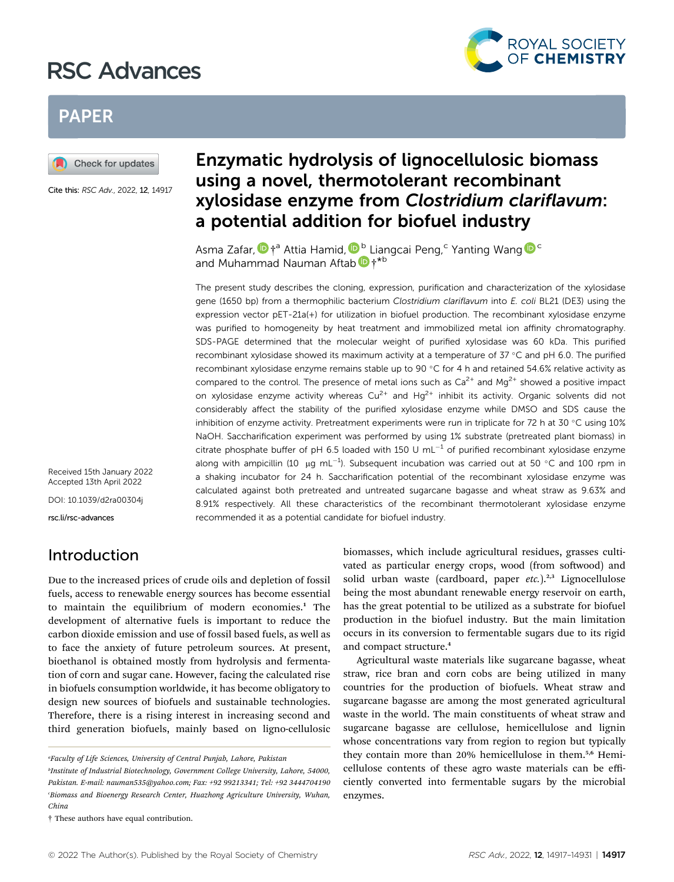# RSC Advances



## **PAPER**



Cite this: RSC Adv., 2022, 12, 14917

## Enzymatic hydrolysis of lignocellulosic biomass using a novel, thermotolerant recombinant xylosidase enzyme from Clostridium clariflavum: a potential addition for biofuel industry

Asma Zafar[,](http://orcid.org/0000-0001-8296-4791)  $\mathbf{D}$  t<sup>a</sup> Attia Hamid,  $\mathbf{D}^{\text{b}}$  Liangcai Peng,<sup>c</sup> Yanting Wang  $\mathbf{D}^{\text{c}}$ and Muhammad Nauman Aftab  $\mathbf{D}$  +\*b

The present study describes the cloning, expression, purification and characterization of the xylosidase gene (1650 bp) from a thermophilic bacterium Clostridium clariflavum into E. coli BL21 (DE3) using the expression vector pET-21a(+) for utilization in biofuel production. The recombinant xylosidase enzyme was purified to homogeneity by heat treatment and immobilized metal ion affinity chromatography. SDS-PAGE determined that the molecular weight of purified xylosidase was 60 kDa. This purified recombinant xylosidase showed its maximum activity at a temperature of  $37^{\circ}$ C and pH 6.0. The purified recombinant xylosidase enzyme remains stable up to 90 °C for 4 h and retained 54.6% relative activity as compared to the control. The presence of metal ions such as  $Ca<sup>2+</sup>$  and Mg<sup>2+</sup> showed a positive impact on xylosidase enzyme activity whereas  $Cu^{2+}$  and  $Hg^{2+}$  inhibit its activity. Organic solvents did not considerably affect the stability of the purified xylosidase enzyme while DMSO and SDS cause the inhibition of enzyme activity. Pretreatment experiments were run in triplicate for 72 h at 30  $^{\circ}$ C using 10% NaOH. Saccharification experiment was performed by using 1% substrate (pretreated plant biomass) in citrate phosphate buffer of pH 6.5 loaded with 150 U mL<sup>-1</sup> of purified recombinant xylosidase enzyme along with ampicillin (10  $\mu$ g mL<sup>-1</sup>). Subsequent incubation was carried out at 50 °C and 100 rpm in a shaking incubator for 24 h. Saccharification potential of the recombinant xylosidase enzyme was calculated against both pretreated and untreated sugarcane bagasse and wheat straw as 9.63% and 8.91% respectively. All these characteristics of the recombinant thermotolerant xylosidase enzyme recommended it as a potential candidate for biofuel industry.

Received 15th January 2022 Accepted 13th April 2022

DOI: 10.1039/d2ra00304j

rsc.li/rsc-advances

### Introduction

Due to the increased prices of crude oils and depletion of fossil fuels, access to renewable energy sources has become essential to maintain the equilibrium of modern economies.<sup>1</sup> The development of alternative fuels is important to reduce the carbon dioxide emission and use of fossil based fuels, as well as to face the anxiety of future petroleum sources. At present, bioethanol is obtained mostly from hydrolysis and fermentation of corn and sugar cane. However, facing the calculated rise in biofuels consumption worldwide, it has become obligatory to design new sources of biofuels and sustainable technologies. Therefore, there is a rising interest in increasing second and third generation biofuels, mainly based on ligno-cellulosic

† These authors have equal contribution.

biomasses, which include agricultural residues, grasses cultivated as particular energy crops, wood (from softwood) and solid urban waste (cardboard, paper  $etc.$ ).<sup>2,3</sup> Lignocellulose being the most abundant renewable energy reservoir on earth, has the great potential to be utilized as a substrate for biofuel production in the biofuel industry. But the main limitation occurs in its conversion to fermentable sugars due to its rigid and compact structure.<sup>4</sup>

Agricultural waste materials like sugarcane bagasse, wheat straw, rice bran and corn cobs are being utilized in many countries for the production of biofuels. Wheat straw and sugarcane bagasse are among the most generated agricultural waste in the world. The main constituents of wheat straw and sugarcane bagasse are cellulose, hemicellulose and lignin whose concentrations vary from region to region but typically they contain more than 20% hemicellulose in them.<sup>5,6</sup> Hemicellulose contents of these agro waste materials can be efficiently converted into fermentable sugars by the microbial enzymes.

<sup>&</sup>quot;Faculty of Life Sciences, University of Central Punjab, Lahore, Pakistan

<sup>&</sup>lt;sup>b</sup>Institute of Industrial Biotechnology, Government College University, Lahore, 54000, Pakistan. E-mail: nauman535@yahoo.com; Fax: +92 99213341; Tel: +92 3444704190 c Biomass and Bioenergy Research Center, Huazhong Agriculture University, Wuhan, China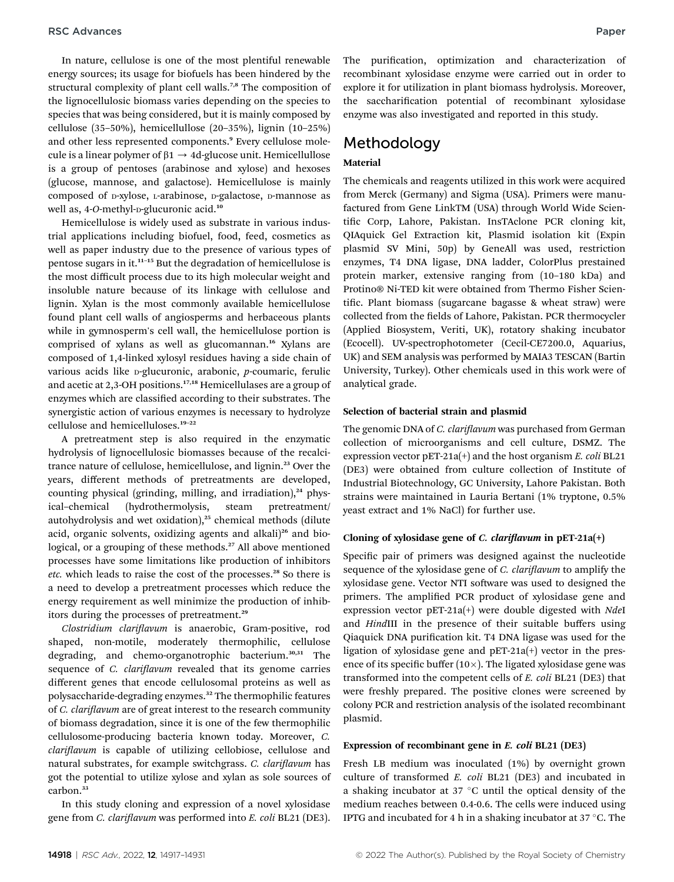In nature, cellulose is one of the most plentiful renewable energy sources; its usage for biofuels has been hindered by the structural complexity of plant cell walls.<sup>7,8</sup> The composition of the lignocellulosic biomass varies depending on the species to species that was being considered, but it is mainly composed by cellulose (35–50%), hemicellullose (20–35%), lignin (10–25%) and other less represented components.<sup>9</sup> Every cellulose molecule is a linear polymer of  $\beta$ 1  $\rightarrow$  4d-glucose unit. Hemicellullose is a group of pentoses (arabinose and xylose) and hexoses (glucose, mannose, and galactose). Hemicellulose is mainly composed of p-xylose, L-arabinose, p-galactose, p-mannose as well as, 4-O-methyl-p-glucuronic acid.<sup>10</sup>

Hemicellulose is widely used as substrate in various industrial applications including biofuel, food, feed, cosmetics as well as paper industry due to the presence of various types of pentose sugars in it.<sup>11</sup>–<sup>15</sup> But the degradation of hemicellulose is the most difficult process due to its high molecular weight and insoluble nature because of its linkage with cellulose and lignin. Xylan is the most commonly available hemicellulose found plant cell walls of angiosperms and herbaceous plants while in gymnosperm's cell wall, the hemicellulose portion is comprised of xylans as well as glucomannan.<sup>16</sup> Xylans are composed of 1,4-linked xylosyl residues having a side chain of various acids like  $p$ -glucuronic, arabonic,  $p$ -coumaric, ferulic and acetic at 2,3-OH positions.17,18 Hemicellulases are a group of enzymes which are classified according to their substrates. The synergistic action of various enzymes is necessary to hydrolyze cellulose and hemicelluloses.<sup>19</sup>–<sup>22</sup>

A pretreatment step is also required in the enzymatic hydrolysis of lignocellulosic biomasses because of the recalcitrance nature of cellulose, hemicellulose, and lignin.<sup>23</sup> Over the years, different methods of pretreatments are developed, counting physical (grinding, milling, and irradiation), $24$  physical–chemical (hydrothermolysis, steam pretreatment/ autohydrolysis and wet oxidation),<sup>25</sup> chemical methods (dilute acid, organic solvents, oxidizing agents and alkali)<sup>26</sup> and biological, or a grouping of these methods.<sup>27</sup> All above mentioned processes have some limitations like production of inhibitors etc. which leads to raise the cost of the processes.<sup>28</sup> So there is a need to develop a pretreatment processes which reduce the energy requirement as well minimize the production of inhibitors during the processes of pretreatment.<sup>25</sup>

Clostridium clariflavum is anaerobic, Gram-positive, rod shaped, non-motile, moderately thermophilic, cellulose degrading, and chemo-organotrophic bacterium.<sup>30,31</sup> The sequence of *C. clariflavum* revealed that its genome carries different genes that encode cellulosomal proteins as well as polysaccharide-degrading enzymes.<sup>32</sup> The thermophilic features of C. clariflavum are of great interest to the research community of biomass degradation, since it is one of the few thermophilic cellulosome-producing bacteria known today. Moreover, C. clariflavum is capable of utilizing cellobiose, cellulose and natural substrates, for example switchgrass. C. clariflavum has got the potential to utilize xylose and xylan as sole sources of carbon.<sup>33</sup>

In this study cloning and expression of a novel xylosidase gene from C. clariflavum was performed into E. coli BL21 (DE3).

enzyme was also investigated and reported in this study. **Methodology** 

### Material

The chemicals and reagents utilized in this work were acquired from Merck (Germany) and Sigma (USA). Primers were manufactured from Gene LinkTM (USA) through World Wide Scientific Corp, Lahore, Pakistan. InsTAclone PCR cloning kit, QIAquick Gel Extraction kit, Plasmid isolation kit (Expin plasmid SV Mini, 50p) by GeneAll was used, restriction enzymes, T4 DNA ligase, DNA ladder, ColorPlus prestained protein marker, extensive ranging from (10–180 kDa) and Protino® Ni-TED kit were obtained from Thermo Fisher Scientific. Plant biomass (sugarcane bagasse & wheat straw) were collected from the fields of Lahore, Pakistan. PCR thermocycler (Applied Biosystem, Veriti, UK), rotatory shaking incubator (Ecocell). UV-spectrophotometer (Cecil-CE7200.0, Aquarius, UK) and SEM analysis was performed by MAIA3 TESCAN (Bartin University, Turkey). Other chemicals used in this work were of analytical grade.

the saccharification potential of recombinant xylosidase

#### Selection of bacterial strain and plasmid

The genomic DNA of C. clariflavum was purchased from German collection of microorganisms and cell culture, DSMZ. The expression vector  $pET-21a(+)$  and the host organism E. coli BL21 (DE3) were obtained from culture collection of Institute of Industrial Biotechnology, GC University, Lahore Pakistan. Both strains were maintained in Lauria Bertani (1% tryptone, 0.5% yeast extract and 1% NaCl) for further use.

#### Cloning of xylosidase gene of C. clariflavum in pET-21a(+)

Specific pair of primers was designed against the nucleotide sequence of the xylosidase gene of C. clariflavum to amplify the xylosidase gene. Vector NTI software was used to designed the primers. The amplified PCR product of xylosidase gene and expression vector pET-21a(+) were double digested with NdeI and HindIII in the presence of their suitable buffers using Qiaquick DNA purification kit. T4 DNA ligase was used for the ligation of xylosidase gene and pET-21a(+) vector in the presence of its specific buffer  $(10\times)$ . The ligated xylosidase gene was transformed into the competent cells of E. coli BL21 (DE3) that were freshly prepared. The positive clones were screened by colony PCR and restriction analysis of the isolated recombinant plasmid.

#### Expression of recombinant gene in E. coli BL21 (DE3)

Fresh LB medium was inoculated (1%) by overnight grown culture of transformed E. coli BL21 (DE3) and incubated in a shaking incubator at  $37^{\circ}$ C until the optical density of the medium reaches between 0.4-0.6. The cells were induced using IPTG and incubated for 4 h in a shaking incubator at  $37^{\circ}$ C. The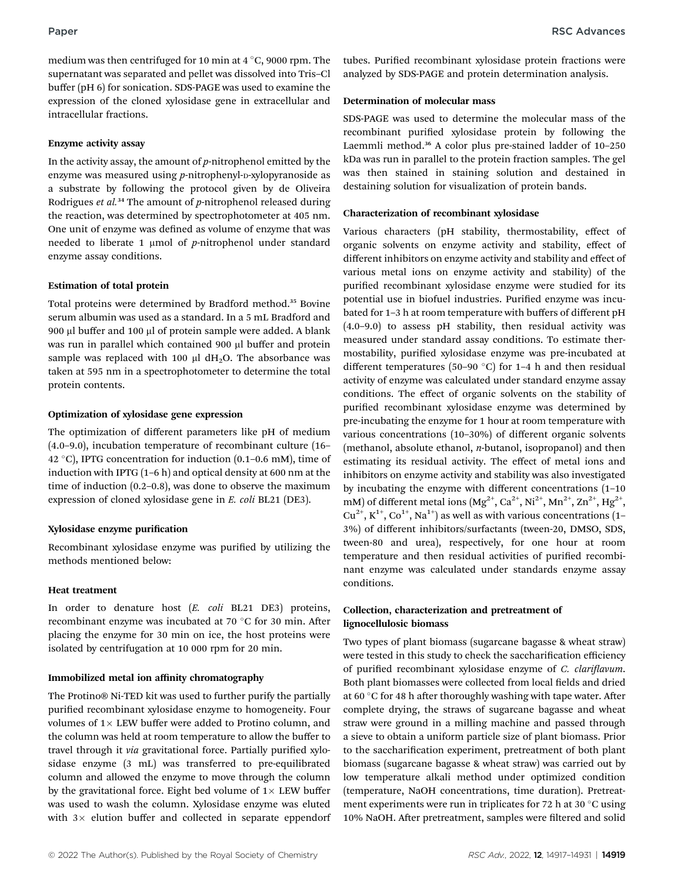medium was then centrifuged for 10 min at  $4^{\circ}$ C, 9000 rpm. The supernatant was separated and pellet was dissolved into Tris–Cl buffer (pH 6) for sonication. SDS-PAGE was used to examine the expression of the cloned xylosidase gene in extracellular and intracellular fractions.

#### Enzyme activity assay

In the activity assay, the amount of  $p$ -nitrophenol emitted by the enzyme was measured using  $p$ -nitrophenyl- $p$ -xylopyranoside as a substrate by following the protocol given by de Oliveira Rodrigues *et al.*<sup>34</sup> The amount of *p*-nitrophenol released during the reaction, was determined by spectrophotometer at 405 nm. One unit of enzyme was defined as volume of enzyme that was needed to liberate 1  $\mu$ mol of p-nitrophenol under standard enzyme assay conditions.

#### Estimation of total protein

Total proteins were determined by Bradford method.<sup>35</sup> Bovine serum albumin was used as a standard. In a 5 mL Bradford and 900 µl buffer and 100 µl of protein sample were added. A blank was run in parallel which contained 900 µl buffer and protein sample was replaced with 100  $\mu$ l dH<sub>2</sub>O. The absorbance was taken at 595 nm in a spectrophotometer to determine the total protein contents.

#### Optimization of xylosidase gene expression

The optimization of different parameters like pH of medium (4.0–9.0), incubation temperature of recombinant culture (16– 42 °C), IPTG concentration for induction  $(0.1-0.6 \text{ mM})$ , time of induction with IPTG (1–6 h) and optical density at 600 nm at the time of induction (0.2–0.8), was done to observe the maximum expression of cloned xylosidase gene in E. coli BL21 (DE3).

### Xylosidase enzyme purification

Recombinant xylosidase enzyme was purified by utilizing the methods mentioned below:

### Heat treatment

In order to denature host (E. coli BL21 DE3) proteins, recombinant enzyme was incubated at 70 °C for 30 min. After placing the enzyme for 30 min on ice, the host proteins were isolated by centrifugation at 10 000 rpm for 20 min.

#### Immobilized metal ion affinity chromatography

The Protino® Ni-TED kit was used to further purify the partially purified recombinant xylosidase enzyme to homogeneity. Four volumes of  $1 \times$  LEW buffer were added to Protino column, and the column was held at room temperature to allow the buffer to travel through it via gravitational force. Partially purified xylosidase enzyme (3 mL) was transferred to pre-equilibrated column and allowed the enzyme to move through the column by the gravitational force. Eight bed volume of  $1 \times$  LEW buffer was used to wash the column. Xylosidase enzyme was eluted with  $3 \times$  elution buffer and collected in separate eppendorf tubes. Purified recombinant xylosidase protein fractions were analyzed by SDS-PAGE and protein determination analysis.

### Determination of molecular mass

SDS-PAGE was used to determine the molecular mass of the recombinant purified xylosidase protein by following the Laemmli method.<sup>36</sup> A color plus pre-stained ladder of 10-250 kDa was run in parallel to the protein fraction samples. The gel was then stained in staining solution and destained in destaining solution for visualization of protein bands.

#### Characterization of recombinant xylosidase

Various characters (pH stability, thermostability, effect of organic solvents on enzyme activity and stability, effect of different inhibitors on enzyme activity and stability and effect of various metal ions on enzyme activity and stability) of the purified recombinant xylosidase enzyme were studied for its potential use in biofuel industries. Purified enzyme was incubated for 1–3 h at room temperature with buffers of different pH (4.0–9.0) to assess pH stability, then residual activity was measured under standard assay conditions. To estimate thermostability, purified xylosidase enzyme was pre-incubated at different temperatures (50–90  $^{\circ}$ C) for 1–4 h and then residual activity of enzyme was calculated under standard enzyme assay conditions. The effect of organic solvents on the stability of purified recombinant xylosidase enzyme was determined by pre-incubating the enzyme for 1 hour at room temperature with various concentrations (10–30%) of different organic solvents (methanol, absolute ethanol, n-butanol, isopropanol) and then estimating its residual activity. The effect of metal ions and inhibitors on enzyme activity and stability was also investigated by incubating the enzyme with different concentrations (1–10 mM) of different metal ions  $(Mg^{2+}, Ca^{2+}, Ni^{2+}, Mn^{2+}, Zn^{2+}, Hg^{2+},$  $Cu^{2+}$ ,  $K^{1+}$ ,  $Co^{1+}$ , Na<sup>1+</sup>) as well as with various concentrations (1– 3%) of different inhibitors/surfactants (tween-20, DMSO, SDS, tween-80 and urea), respectively, for one hour at room temperature and then residual activities of purified recombinant enzyme was calculated under standards enzyme assay conditions.

### Collection, characterization and pretreatment of lignocellulosic biomass

Two types of plant biomass (sugarcane bagasse & wheat straw) were tested in this study to check the saccharification efficiency of purified recombinant xylosidase enzyme of C. clariflavum. Both plant biomasses were collected from local fields and dried at 60 $\degree$ C for 48 h after thoroughly washing with tape water. After complete drying, the straws of sugarcane bagasse and wheat straw were ground in a milling machine and passed through a sieve to obtain a uniform particle size of plant biomass. Prior to the saccharification experiment, pretreatment of both plant biomass (sugarcane bagasse & wheat straw) was carried out by low temperature alkali method under optimized condition (temperature, NaOH concentrations, time duration). Pretreatment experiments were run in triplicates for 72 h at 30  $^{\circ}$ C using 10% NaOH. After pretreatment, samples were filtered and solid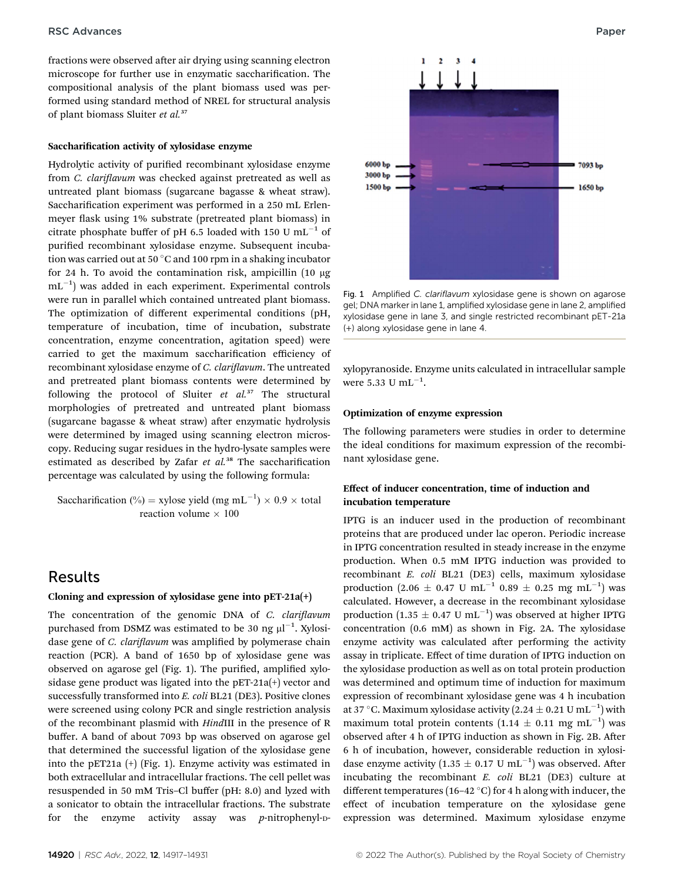fractions were observed after air drying using scanning electron microscope for further use in enzymatic saccharification. The compositional analysis of the plant biomass used was performed using standard method of NREL for structural analysis of plant biomass Sluiter et al.<sup>37</sup>

#### Saccharification activity of xylosidase enzyme

Hydrolytic activity of purified recombinant xylosidase enzyme from C. clariflavum was checked against pretreated as well as untreated plant biomass (sugarcane bagasse & wheat straw). Saccharification experiment was performed in a 250 mL Erlenmeyer flask using 1% substrate (pretreated plant biomass) in citrate phosphate buffer of pH 6.5 loaded with 150 U  $mL^{-1}$  of purified recombinant xylosidase enzyme. Subsequent incubation was carried out at 50 $\degree$ C and 100 rpm in a shaking incubator for 24 h. To avoid the contamination risk, ampicillin  $(10 \mu g)$  $\mathrm{mL}^{-1})$  was added in each experiment. Experimental controls were run in parallel which contained untreated plant biomass. The optimization of different experimental conditions (pH, temperature of incubation, time of incubation, substrate concentration, enzyme concentration, agitation speed) were carried to get the maximum saccharification efficiency of recombinant xylosidase enzyme of C. clariflavum. The untreated and pretreated plant biomass contents were determined by following the protocol of Sluiter  $et$   $al.^{37}$  The structural morphologies of pretreated and untreated plant biomass (sugarcane bagasse & wheat straw) after enzymatic hydrolysis were determined by imaged using scanning electron microscopy. Reducing sugar residues in the hydro-lysate samples were estimated as described by Zafar  $et$   $al.^{38}$  The saccharification percentage was calculated by using the following formula:

Saccharification (%) = xylose yield (mg mL<sup>-1</sup>) × 0.9 × total reaction volume  $\times$  100

### Results

#### Cloning and expression of xylosidase gene into pET-21a(+)

The concentration of the genomic DNA of C. clariflavum purchased from DSMZ was estimated to be 30 ng  $\mu$ l $^{-1}$ . Xylosidase gene of *C. clariflavum* was amplified by polymerase chain reaction (PCR). A band of 1650 bp of xylosidase gene was observed on agarose gel (Fig. 1). The purified, amplified xylosidase gene product was ligated into the pET-21a(+) vector and successfully transformed into E. coli BL21 (DE3). Positive clones were screened using colony PCR and single restriction analysis of the recombinant plasmid with HindIII in the presence of R buffer. A band of about 7093 bp was observed on agarose gel that determined the successful ligation of the xylosidase gene into the pET21a (+) (Fig. 1). Enzyme activity was estimated in both extracellular and intracellular fractions. The cell pellet was resuspended in 50 mM Tris–Cl buffer (pH: 8.0) and lyzed with a sonicator to obtain the intracellular fractions. The substrate for the enzyme activity assay was  $p$ -nitrophenyl-p-



Fig. 1 Amplified C. clariflavum xylosidase gene is shown on agarose gel; DNA marker in lane 1, amplified xylosidase gene in lane 2, amplified xylosidase gene in lane 3, and single restricted recombinant pET-21a (+) along xylosidase gene in lane 4.

xylopyranoside. Enzyme units calculated in intracellular sample were 5.33 U  $mL^{-1}$ .

#### Optimization of enzyme expression

The following parameters were studies in order to determine the ideal conditions for maximum expression of the recombinant xylosidase gene.

### Effect of inducer concentration, time of induction and incubation temperature

IPTG is an inducer used in the production of recombinant proteins that are produced under lac operon. Periodic increase in IPTG concentration resulted in steady increase in the enzyme production. When 0.5 mM IPTG induction was provided to recombinant E. coli BL21 (DE3) cells, maximum xylosidase production (2.06  $\pm$  0.47 U mL<sup>-1</sup> 0.89  $\pm$  0.25 mg mL<sup>-1</sup>) was calculated. However, a decrease in the recombinant xylosidase production  $(1.35 \pm 0.47 \text{ U} \text{ mL}^{-1})$  was observed at higher IPTG concentration (0.6 mM) as shown in Fig. 2A. The xylosidase enzyme activity was calculated after performing the activity assay in triplicate. Effect of time duration of IPTG induction on the xylosidase production as well as on total protein production was determined and optimum time of induction for maximum expression of recombinant xylosidase gene was 4 h incubation at 37 °C. Maximum xylosidase activity (2.24  $\pm$  0.21 U mL<sup>-1</sup>) with maximum total protein contents  $(1.14 \pm 0.11 \text{ mg} \text{ mL}^{-1})$  was observed after 4 h of IPTG induction as shown in Fig. 2B. After 6 h of incubation, however, considerable reduction in xylosidase enzyme activity (1.35  $\pm$  0.17 U mL<sup>-1</sup>) was observed. After incubating the recombinant  $E.$   $coll$  BL21 (DE3) culture at different temperatures (16–42 °C) for 4 h along with inducer, the effect of incubation temperature on the xylosidase gene expression was determined. Maximum xylosidase enzyme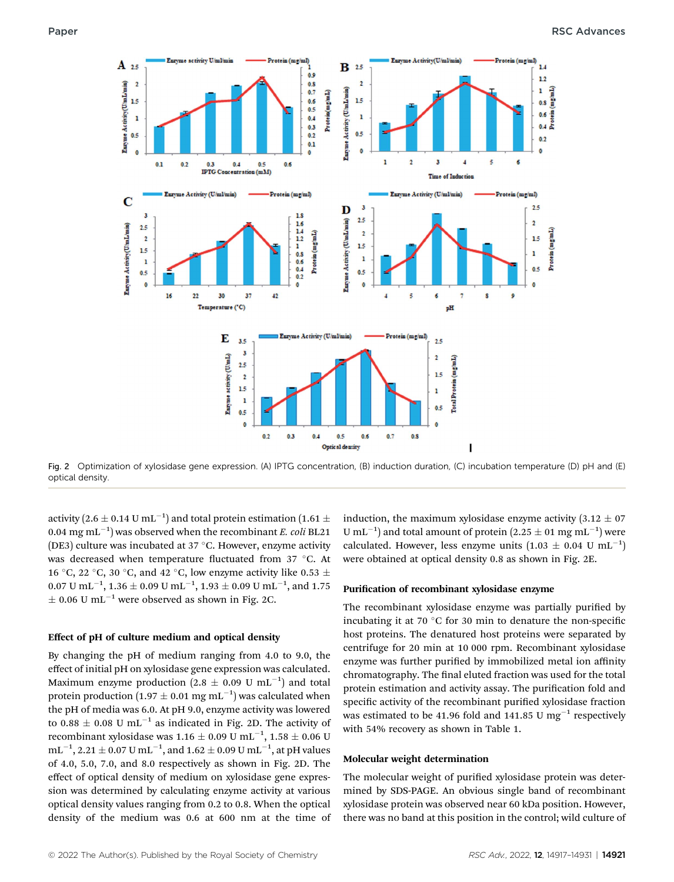

Fig. 2 Optimization of xylosidase gene expression. (A) IPTG concentration, (B) induction duration, (C) incubation temperature (D) pH and (E) optical density.

activity (2.6  $\pm$  0.14 U mL $^{-1})$  and total protein estimation (1.61  $\pm$ 0.04  $\mathrm{mg\,mL}^{-1})$  was observed when the recombinant *E. coli* BL21 (DE3) culture was incubated at 37  $\degree$ C. However, enzyme activity was decreased when temperature fluctuated from 37 °C. At 16 °C, 22 °C, 30 °C, and 42 °C, low enzyme activity like 0.53  $\pm$  $0.07 \text{ U }\mathrm{mL}^{-1}$ ,  $1.36 \pm 0.09 \text{ U }\mathrm{mL}^{-1}$ ,  $1.93 \pm 0.09 \text{ U }\mathrm{mL}^{-1}$ , and  $1.75$  $\pm$  0.06 U mL<sup>-1</sup> were observed as shown in Fig. 2C.

#### Effect of pH of culture medium and optical density

By changing the pH of medium ranging from 4.0 to 9.0, the effect of initial pH on xylosidase gene expression was calculated. Maximum enzyme production  $(2.8 \pm 0.09 \text{ U} \text{ mL}^{-1})$  and total protein production (1.97  $\pm$  0.01 mg mL<sup>-1</sup>) was calculated when the pH of media was 6.0. At pH 9.0, enzyme activity was lowered to 0.88  $\pm$  0.08 U mL<sup>-1</sup> as indicated in Fig. 2D. The activity of recombinant xylosidase was 1.16  $\pm$  0.09 U mL $^{-1}$ , 1.58  $\pm$  0.06 U  $\text{mL}^{-1}$ , 2.21  $\pm$  0.07 U mL<sup>-1</sup>, and 1.62  $\pm$  0.09 U mL<sup>-1</sup>, at pH values of 4.0, 5.0, 7.0, and 8.0 respectively as shown in Fig. 2D. The effect of optical density of medium on xylosidase gene expression was determined by calculating enzyme activity at various optical density values ranging from 0.2 to 0.8. When the optical density of the medium was 0.6 at 600 nm at the time of induction, the maximum xylosidase enzyme activity  $(3.12 \pm 07)$ U mL<sup>-1</sup>) and total amount of protein (2.25  $\pm$  01 mg mL<sup>-1</sup>) were calculated. However, less enzyme units  $(1.03 \pm 0.04 \text{ U} \text{ mL}^{-1})$ were obtained at optical density 0.8 as shown in Fig. 2E.

#### Purification of recombinant xylosidase enzyme

The recombinant xylosidase enzyme was partially purified by incubating it at 70  $\degree$ C for 30 min to denature the non-specific host proteins. The denatured host proteins were separated by centrifuge for 20 min at 10 000 rpm. Recombinant xylosidase enzyme was further purified by immobilized metal ion affinity chromatography. The final eluted fraction was used for the total protein estimation and activity assay. The purification fold and specific activity of the recombinant purified xylosidase fraction was estimated to be 41.96 fold and 141.85 U mg<sup>-1</sup> respectively with 54% recovery as shown in Table 1.

#### Molecular weight determination

The molecular weight of purified xylosidase protein was determined by SDS-PAGE. An obvious single band of recombinant xylosidase protein was observed near 60 kDa position. However, there was no band at this position in the control; wild culture of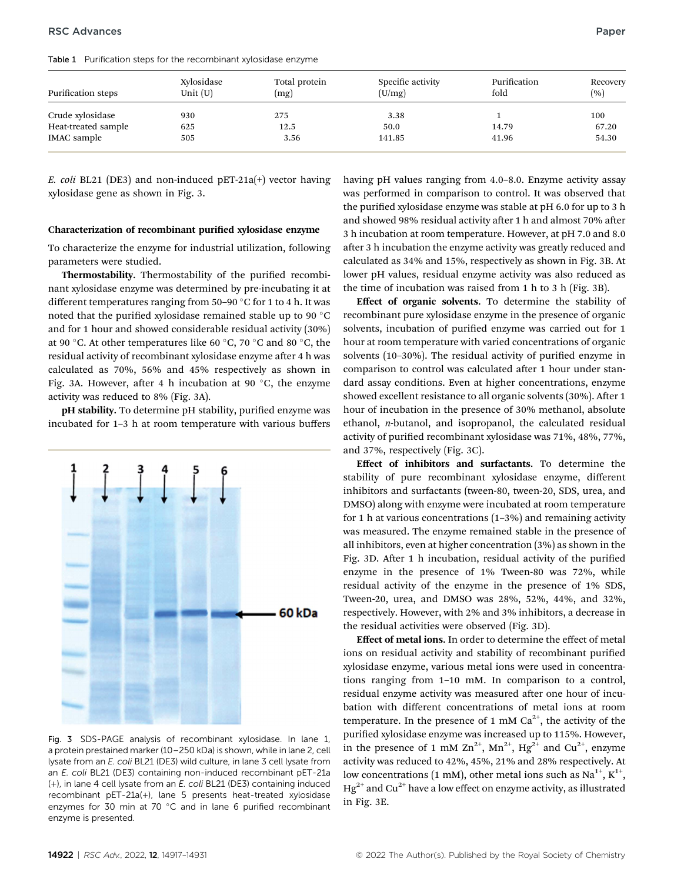Table 1 Purification steps for the recombinant xylosidase enzyme

| Purification steps  | Xylosidase<br>Unit $(U)$ | Total protein<br>(mg) | Specific activity<br>(U/mg) | Purification<br>fold | Recovery<br>(9) |
|---------------------|--------------------------|-----------------------|-----------------------------|----------------------|-----------------|
| Crude xylosidase    | 930                      | 275                   | 3.38                        |                      | 100             |
| Heat-treated sample | 625                      | 12.5                  | 50.0                        | 14.79                | 67.20           |
| <b>IMAC</b> sample  | 505                      | 3.56                  | 141.85                      | 41.96                | 54.30           |

E. coli BL21 (DE3) and non-induced pET-21a(+) vector having xylosidase gene as shown in Fig. 3.

#### Characterization of recombinant purified xylosidase enzyme

To characterize the enzyme for industrial utilization, following parameters were studied.

Thermostability. Thermostability of the purified recombinant xylosidase enzyme was determined by pre-incubating it at different temperatures ranging from  $50-90$  °C for 1 to 4 h. It was noted that the purified xylosidase remained stable up to 90  $^{\circ}$ C and for 1 hour and showed considerable residual activity (30%) at 90 °C. At other temperatures like 60 °C, 70 °C and 80 °C, the residual activity of recombinant xylosidase enzyme after 4 h was calculated as 70%, 56% and 45% respectively as shown in Fig. 3A. However, after 4 h incubation at 90  $\degree$ C, the enzyme activity was reduced to 8% (Fig. 3A).

pH stability. To determine pH stability, purified enzyme was incubated for 1–3 h at room temperature with various buffers



Fig. 3 SDS-PAGE analysis of recombinant xylosidase. In lane 1, a protein prestained marker (10–250 kDa) is shown, while in lane 2, cell lysate from an E. coli BL21 (DE3) wild culture, in lane 3 cell lysate from an E. coli BL21 (DE3) containing non-induced recombinant pET-21a (+), in lane 4 cell lysate from an E. coli BL21 (DE3) containing induced recombinant pET-21a(+), lane 5 presents heat-treated xylosidase enzymes for 30 min at 70  $^{\circ}$ C and in lane 6 purified recombinant enzyme is presented.

having pH values ranging from 4.0–8.0. Enzyme activity assay was performed in comparison to control. It was observed that the purified xylosidase enzyme was stable at pH 6.0 for up to 3 h and showed 98% residual activity after 1 h and almost 70% after 3 h incubation at room temperature. However, at pH 7.0 and 8.0 after 3 h incubation the enzyme activity was greatly reduced and calculated as 34% and 15%, respectively as shown in Fig. 3B. At lower pH values, residual enzyme activity was also reduced as the time of incubation was raised from 1 h to 3 h (Fig. 3B).

Effect of organic solvents. To determine the stability of recombinant pure xylosidase enzyme in the presence of organic solvents, incubation of purified enzyme was carried out for 1 hour at room temperature with varied concentrations of organic solvents  $(10-30\%)$ . The residual activity of purified enzyme in comparison to control was calculated after 1 hour under standard assay conditions. Even at higher concentrations, enzyme showed excellent resistance to all organic solvents (30%). After 1 hour of incubation in the presence of 30% methanol, absolute ethanol, n-butanol, and isopropanol, the calculated residual activity of purified recombinant xylosidase was 71%, 48%, 77%, and 37%, respectively (Fig. 3C).

Effect of inhibitors and surfactants. To determine the stability of pure recombinant xylosidase enzyme, different inhibitors and surfactants (tween-80, tween-20, SDS, urea, and DMSO) along with enzyme were incubated at room temperature for 1 h at various concentrations  $(1-3\%)$  and remaining activity was measured. The enzyme remained stable in the presence of all inhibitors, even at higher concentration (3%) as shown in the Fig. 3D. After 1 h incubation, residual activity of the purified enzyme in the presence of 1% Tween-80 was 72%, while residual activity of the enzyme in the presence of 1% SDS, Tween-20, urea, and DMSO was 28%, 52%, 44%, and 32%, respectively. However, with 2% and 3% inhibitors, a decrease in the residual activities were observed (Fig. 3D).

Effect of metal ions. In order to determine the effect of metal ions on residual activity and stability of recombinant purified xylosidase enzyme, various metal ions were used in concentrations ranging from 1–10 mM. In comparison to a control, residual enzyme activity was measured after one hour of incubation with different concentrations of metal ions at room temperature. In the presence of 1 mM  $Ca^{2+}$ , the activity of the purified xylosidase enzyme was increased up to 115%. However, in the presence of 1 mM  $\text{Zn}^{2+}$ , Mn<sup>2+</sup>, Hg<sup>2+</sup> and Cu<sup>2+</sup>, enzyme activity was reduced to 42%, 45%, 21% and 28% respectively. At low concentrations (1 mM), other metal ions such as Na<sup>1+</sup>, K<sup>1+</sup>,  $Hg^{2+}$  and Cu<sup>2+</sup> have a low effect on enzyme activity, as illustrated in Fig. 3E.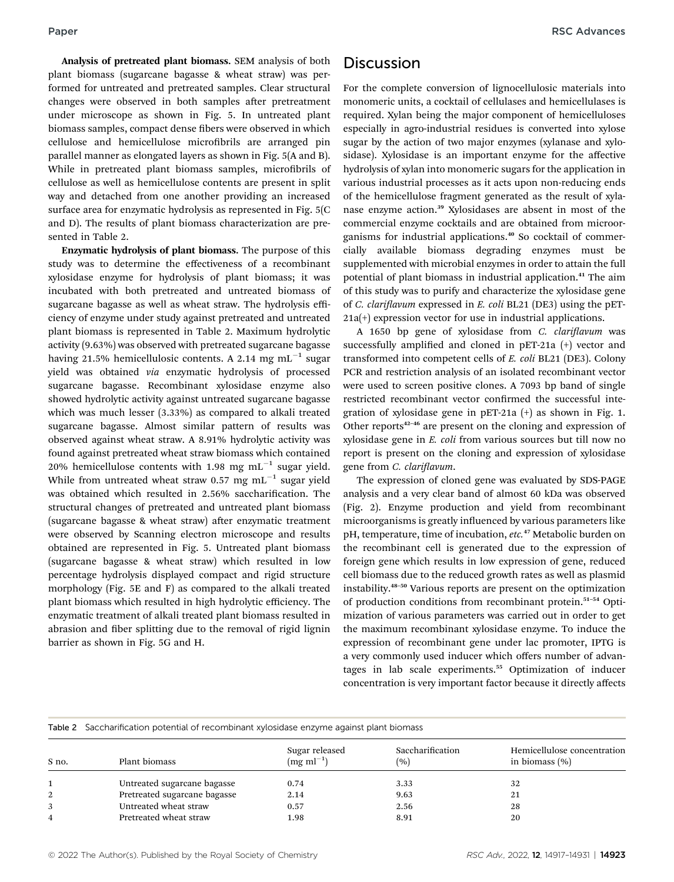Analysis of pretreated plant biomass. SEM analysis of both plant biomass (sugarcane bagasse & wheat straw) was performed for untreated and pretreated samples. Clear structural changes were observed in both samples after pretreatment under microscope as shown in Fig. 5. In untreated plant biomass samples, compact dense fibers were observed in which cellulose and hemicellulose microfibrils are arranged pin parallel manner as elongated layers as shown in Fig. 5(A and B). While in pretreated plant biomass samples, microfibrils of cellulose as well as hemicellulose contents are present in split way and detached from one another providing an increased surface area for enzymatic hydrolysis as represented in Fig. 5(C and D). The results of plant biomass characterization are presented in Table 2.

Enzymatic hydrolysis of plant biomass. The purpose of this study was to determine the effectiveness of a recombinant xylosidase enzyme for hydrolysis of plant biomass; it was incubated with both pretreated and untreated biomass of sugarcane bagasse as well as wheat straw. The hydrolysis efficiency of enzyme under study against pretreated and untreated plant biomass is represented in Table 2. Maximum hydrolytic activity (9.63%) was observed with pretreated sugarcane bagasse having 21.5% hemicellulosic contents. A 2.14 mg  $mL^{-1}$  sugar yield was obtained via enzymatic hydrolysis of processed sugarcane bagasse. Recombinant xylosidase enzyme also showed hydrolytic activity against untreated sugarcane bagasse which was much lesser (3.33%) as compared to alkali treated sugarcane bagasse. Almost similar pattern of results was observed against wheat straw. A 8.91% hydrolytic activity was found against pretreated wheat straw biomass which contained 20% hemicellulose contents with 1.98 mg  $mL^{-1}$  sugar yield. While from untreated wheat straw 0.57 mg  $mL^{-1}$  sugar yield was obtained which resulted in 2.56% saccharification. The structural changes of pretreated and untreated plant biomass (sugarcane bagasse & wheat straw) after enzymatic treatment were observed by Scanning electron microscope and results obtained are represented in Fig. 5. Untreated plant biomass (sugarcane bagasse & wheat straw) which resulted in low percentage hydrolysis displayed compact and rigid structure morphology (Fig. 5E and F) as compared to the alkali treated plant biomass which resulted in high hydrolytic efficiency. The enzymatic treatment of alkali treated plant biomass resulted in abrasion and fiber splitting due to the removal of rigid lignin barrier as shown in Fig. 5G and H.

### **Discussion**

For the complete conversion of lignocellulosic materials into monomeric units, a cocktail of cellulases and hemicellulases is required. Xylan being the major component of hemicelluloses especially in agro-industrial residues is converted into xylose sugar by the action of two major enzymes (xylanase and xylosidase). Xylosidase is an important enzyme for the affective hydrolysis of xylan into monomeric sugars for the application in various industrial processes as it acts upon non-reducing ends of the hemicellulose fragment generated as the result of xylanase enzyme action.<sup>39</sup> Xylosidases are absent in most of the commercial enzyme cocktails and are obtained from microorganisms for industrial applications.<sup>40</sup> So cocktail of commercially available biomass degrading enzymes must be supplemented with microbial enzymes in order to attain the full potential of plant biomass in industrial application.<sup>41</sup> The aim of this study was to purify and characterize the xylosidase gene of C. clariflavum expressed in E. coli BL21 (DE3) using the pET-21a(+) expression vector for use in industrial applications.

A 1650 bp gene of xylosidase from  $C$ . *clariflavum* was successfully amplified and cloned in pET-21a (+) vector and transformed into competent cells of E. coli BL21 (DE3). Colony PCR and restriction analysis of an isolated recombinant vector were used to screen positive clones. A 7093 bp band of single restricted recombinant vector confirmed the successful integration of xylosidase gene in pET-21a (+) as shown in Fig. 1. Other reports $42-46$  are present on the cloning and expression of xylosidase gene in E. coli from various sources but till now no report is present on the cloning and expression of xylosidase gene from C. clariflavum.

The expression of cloned gene was evaluated by SDS-PAGE analysis and a very clear band of almost 60 kDa was observed (Fig. 2). Enzyme production and yield from recombinant microorganisms is greatly influenced by various parameters like pH, temperature, time of incubation, etc.<sup>47</sup> Metabolic burden on the recombinant cell is generated due to the expression of foreign gene which results in low expression of gene, reduced cell biomass due to the reduced growth rates as well as plasmid instability.<sup>48</sup>–<sup>50</sup> Various reports are present on the optimization of production conditions from recombinant protein.<sup>51</sup>–<sup>54</sup> Optimization of various parameters was carried out in order to get the maximum recombinant xylosidase enzyme. To induce the expression of recombinant gene under lac promoter, IPTG is a very commonly used inducer which offers number of advantages in lab scale experiments.<sup>55</sup> Optimization of inducer concentration is very important factor because it directly affects

Table 2 Saccharification potential of recombinant xylosidase enzyme against plant biomass

| S no. | Plant biomass                | Sugar released<br>$(mg \, ml^{-1})$ | Saccharification<br>(%) | Hemicellulose concentration<br>in biomass $(\% )$ |
|-------|------------------------------|-------------------------------------|-------------------------|---------------------------------------------------|
|       | Untreated sugarcane bagasse  | 0.74                                | 3.33                    | 32                                                |
| 2     | Pretreated sugarcane bagasse | 2.14                                | 9.63                    | 21                                                |
|       | Untreated wheat straw        | 0.57                                | 2.56                    | 28                                                |
| 4     | Pretreated wheat straw       | 1.98                                | 8.91                    | 20                                                |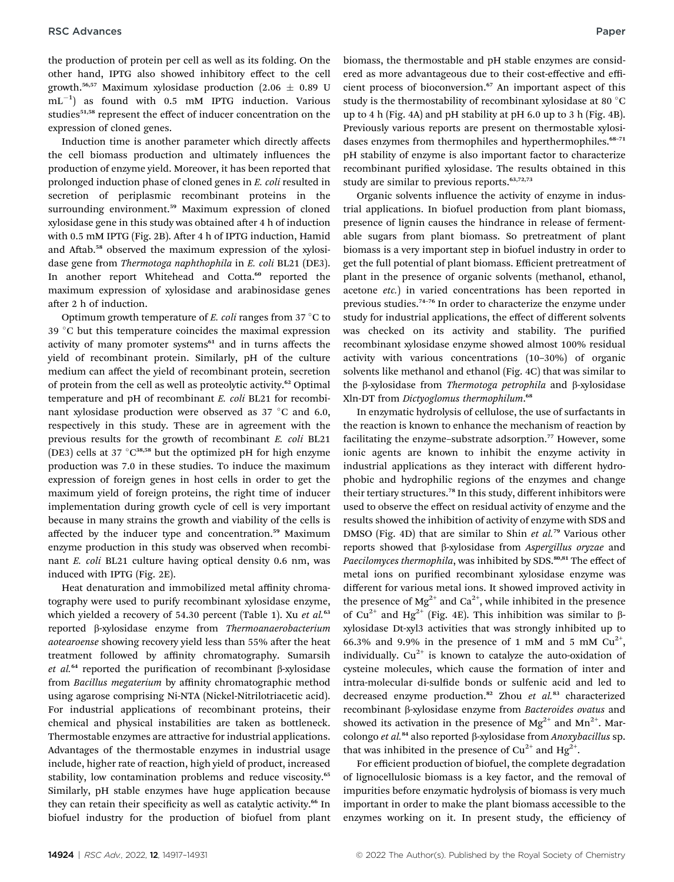the production of protein per cell as well as its folding. On the other hand, IPTG also showed inhibitory effect to the cell growth.<sup>56,57</sup> Maximum xylosidase production (2.06  $\pm$  0.89 U  $mL^{-1}$ ) as found with 0.5 mM IPTG induction. Various studies<sup>51,58</sup> represent the effect of inducer concentration on the expression of cloned genes.

Induction time is another parameter which directly affects the cell biomass production and ultimately influences the production of enzyme yield. Moreover, it has been reported that prolonged induction phase of cloned genes in E. coli resulted in secretion of periplasmic recombinant proteins in the surrounding environment.<sup>59</sup> Maximum expression of cloned xylosidase gene in this study was obtained after 4 h of induction with 0.5 mM IPTG (Fig. 2B). After 4 h of IPTG induction, Hamid and Aftab.<sup>58</sup> observed the maximum expression of the xylosidase gene from Thermotoga naphthophila in E. coli BL21 (DE3). In another report Whitehead and Cotta.<sup>60</sup> reported the maximum expression of xylosidase and arabinosidase genes after 2 h of induction.

Optimum growth temperature of E. coli ranges from 37  $\degree$ C to 39 °C but this temperature coincides the maximal expression activity of many promoter systems<sup>61</sup> and in turns affects the yield of recombinant protein. Similarly, pH of the culture medium can affect the yield of recombinant protein, secretion of protein from the cell as well as proteolytic activity.<sup>62</sup> Optimal temperature and pH of recombinant E. coli BL21 for recombinant xylosidase production were observed as  $37 °C$  and 6.0, respectively in this study. These are in agreement with the previous results for the growth of recombinant E. coli BL21 (DE3) cells at 37  $\textdegree$ C<sup>38,58</sup> but the optimized pH for high enzyme production was 7.0 in these studies. To induce the maximum expression of foreign genes in host cells in order to get the maximum yield of foreign proteins, the right time of inducer implementation during growth cycle of cell is very important because in many strains the growth and viability of the cells is affected by the inducer type and concentration.<sup>59</sup> Maximum enzyme production in this study was observed when recombinant E. coli BL21 culture having optical density 0.6 nm, was induced with IPTG (Fig. 2E).

Heat denaturation and immobilized metal affinity chromatography were used to purify recombinant xylosidase enzyme, which yielded a recovery of 54.30 percent (Table 1). Xu et al.<sup>63</sup> reported b-xylosidase enzyme from Thermoanaerobacterium aotearoense showing recovery yield less than 55% after the heat treatment followed by affinity chromatography. Sumarsih et  $al$ <sup>64</sup> reported the purification of recombinant  $\beta$ -xylosidase from Bacillus megaterium by affinity chromatographic method using agarose comprising Ni-NTA (Nickel-Nitrilotriacetic acid). For industrial applications of recombinant proteins, their chemical and physical instabilities are taken as bottleneck. Thermostable enzymes are attractive for industrial applications. Advantages of the thermostable enzymes in industrial usage include, higher rate of reaction, high yield of product, increased stability, low contamination problems and reduce viscosity.<sup>65</sup> Similarly, pH stable enzymes have huge application because they can retain their specificity as well as catalytic activity.<sup>66</sup> In biofuel industry for the production of biofuel from plant biomass, the thermostable and pH stable enzymes are considered as more advantageous due to their cost-effective and efficient process of bioconversion.<sup>67</sup> An important aspect of this study is the thermostability of recombinant xylosidase at 80 °C up to 4 h (Fig. 4A) and pH stability at pH 6.0 up to 3 h (Fig. 4B). Previously various reports are present on thermostable xylosidases enzymes from thermophiles and hyperthermophiles.<sup>68-71</sup> pH stability of enzyme is also important factor to characterize recombinant purified xylosidase. The results obtained in this study are similar to previous reports.<sup>63,72,73</sup>

Organic solvents influence the activity of enzyme in industrial applications. In biofuel production from plant biomass, presence of lignin causes the hindrance in release of fermentable sugars from plant biomass. So pretreatment of plant biomass is a very important step in biofuel industry in order to get the full potential of plant biomass. Efficient pretreatment of plant in the presence of organic solvents (methanol, ethanol, acetone etc.) in varied concentrations has been reported in previous studies.<sup>74</sup>–<sup>76</sup> In order to characterize the enzyme under study for industrial applications, the effect of different solvents was checked on its activity and stability. The purified recombinant xylosidase enzyme showed almost 100% residual activity with various concentrations (10–30%) of organic solvents like methanol and ethanol (Fig. 4C) that was similar to the β-xylosidase from Thermotoga petrophila and β-xylosidase Xln-DT from Dictyoglomus thermophilum.<sup>68</sup>

In enzymatic hydrolysis of cellulose, the use of surfactants in the reaction is known to enhance the mechanism of reaction by facilitating the enzyme-substrate adsorption.<sup>77</sup> However, some ionic agents are known to inhibit the enzyme activity in industrial applications as they interact with different hydrophobic and hydrophilic regions of the enzymes and change their tertiary structures.<sup>78</sup> In this study, different inhibitors were used to observe the effect on residual activity of enzyme and the results showed the inhibition of activity of enzyme with SDS and DMSO (Fig. 4D) that are similar to Shin et  $al.^{79}$  Various other reports showed that  $\beta$ -xylosidase from Aspergillus oryzae and Paecilomyces thermophila, was inhibited by SDS.<sup>80,81</sup> The effect of metal ions on purified recombinant xylosidase enzyme was different for various metal ions. It showed improved activity in the presence of  $Mg^{2+}$  and  $Ca^{2+}$ , while inhibited in the presence of Cu<sup>2+</sup> and Hg<sup>2+</sup> (Fig. 4E). This inhibition was similar to  $\beta$ xylosidase Dt-xyl3 activities that was strongly inhibited up to 66.3% and 9.9% in the presence of 1 mM and 5 mM  $Cu^{2+}$ , individually.  $Cu^{2+}$  is known to catalyze the auto-oxidation of cysteine molecules, which cause the formation of inter and intra-molecular di-sulfide bonds or sulfenic acid and led to decreased enzyme production.<sup>82</sup> Zhou et  $al.^{83}$  characterized recombinant β-xylosidase enzyme from Bacteroides ovatus and showed its activation in the presence of  $Mg^{2+}$  and  $Mn^{2+}$ . Marcolongo et al.<sup>84</sup> also reported  $\beta$ -xylosidase from Anoxybacillus sp. that was inhibited in the presence of  $Cu^{2+}$  and  $Hg^{2+}$ .

For efficient production of biofuel, the complete degradation of lignocellulosic biomass is a key factor, and the removal of impurities before enzymatic hydrolysis of biomass is very much important in order to make the plant biomass accessible to the enzymes working on it. In present study, the efficiency of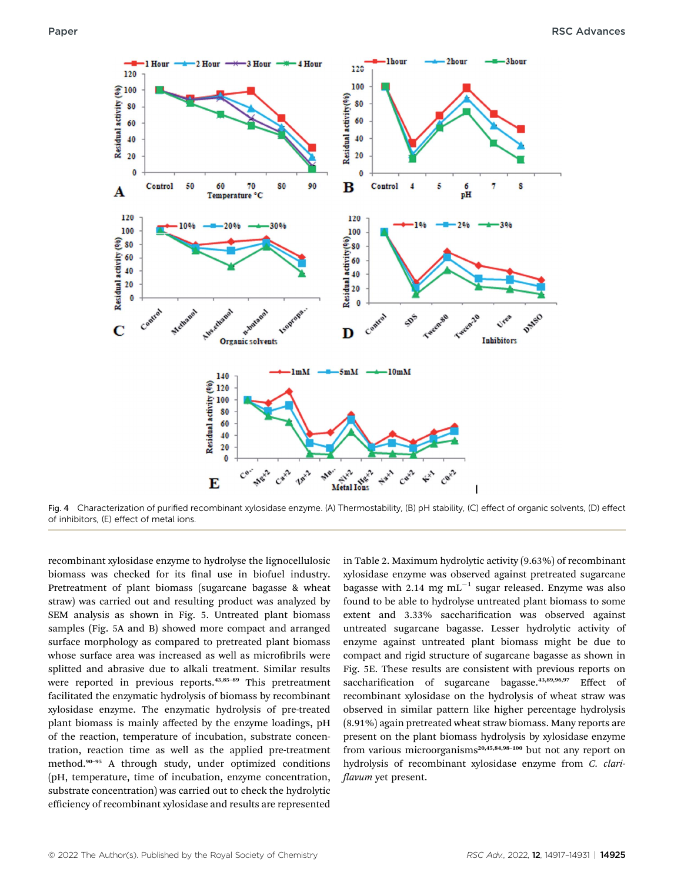

Fig. 4 Characterization of purified recombinant xylosidase enzyme. (A) Thermostability, (B) pH stability, (C) effect of organic solvents, (D) effect of inhibitors, (E) effect of metal ions.

recombinant xylosidase enzyme to hydrolyse the lignocellulosic biomass was checked for its final use in biofuel industry. Pretreatment of plant biomass (sugarcane bagasse & wheat straw) was carried out and resulting product was analyzed by SEM analysis as shown in Fig. 5. Untreated plant biomass samples (Fig. 5A and B) showed more compact and arranged surface morphology as compared to pretreated plant biomass whose surface area was increased as well as microfibrils were splitted and abrasive due to alkali treatment. Similar results were reported in previous reports.<sup>43,85-89</sup> This pretreatment facilitated the enzymatic hydrolysis of biomass by recombinant xylosidase enzyme. The enzymatic hydrolysis of pre-treated plant biomass is mainly affected by the enzyme loadings, pH of the reaction, temperature of incubation, substrate concentration, reaction time as well as the applied pre-treatment method.<sup>90</sup>–<sup>95</sup> A through study, under optimized conditions (pH, temperature, time of incubation, enzyme concentration, substrate concentration) was carried out to check the hydrolytic efficiency of recombinant xylosidase and results are represented

in Table 2. Maximum hydrolytic activity (9.63%) of recombinant xylosidase enzyme was observed against pretreated sugarcane bagasse with 2.14 mg  $mL^{-1}$  sugar released. Enzyme was also found to be able to hydrolyse untreated plant biomass to some extent and 3.33% saccharification was observed against untreated sugarcane bagasse. Lesser hydrolytic activity of enzyme against untreated plant biomass might be due to compact and rigid structure of sugarcane bagasse as shown in Fig. 5E. These results are consistent with previous reports on saccharification of sugarcane bagasse.<sup>43,89,96,97</sup> Effect of recombinant xylosidase on the hydrolysis of wheat straw was observed in similar pattern like higher percentage hydrolysis (8.91%) again pretreated wheat straw biomass. Many reports are present on the plant biomass hydrolysis by xylosidase enzyme from various microorganisms<sup>20,45,84,98-100</sup> but not any report on hydrolysis of recombinant xylosidase enzyme from C. clari flavum yet present.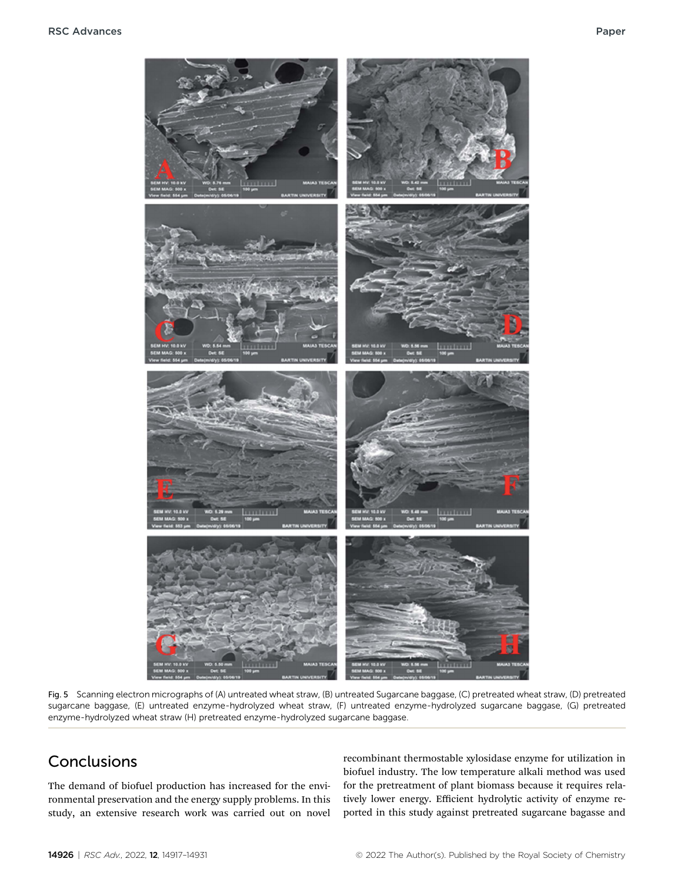

Fig. 5 Scanning electron micrographs of (A) untreated wheat straw, (B) untreated Sugarcane baggase, (C) pretreated wheat straw, (D) pretreated sugarcane baggase, (E) untreated enzyme-hydrolyzed wheat straw, (F) untreated enzyme-hydrolyzed sugarcane baggase, (G) pretreated enzyme-hydrolyzed wheat straw (H) pretreated enzyme-hydrolyzed sugarcane baggase.

### Conclusions

The demand of biofuel production has increased for the environmental preservation and the energy supply problems. In this study, an extensive research work was carried out on novel

recombinant thermostable xylosidase enzyme for utilization in biofuel industry. The low temperature alkali method was used for the pretreatment of plant biomass because it requires relatively lower energy. Efficient hydrolytic activity of enzyme reported in this study against pretreated sugarcane bagasse and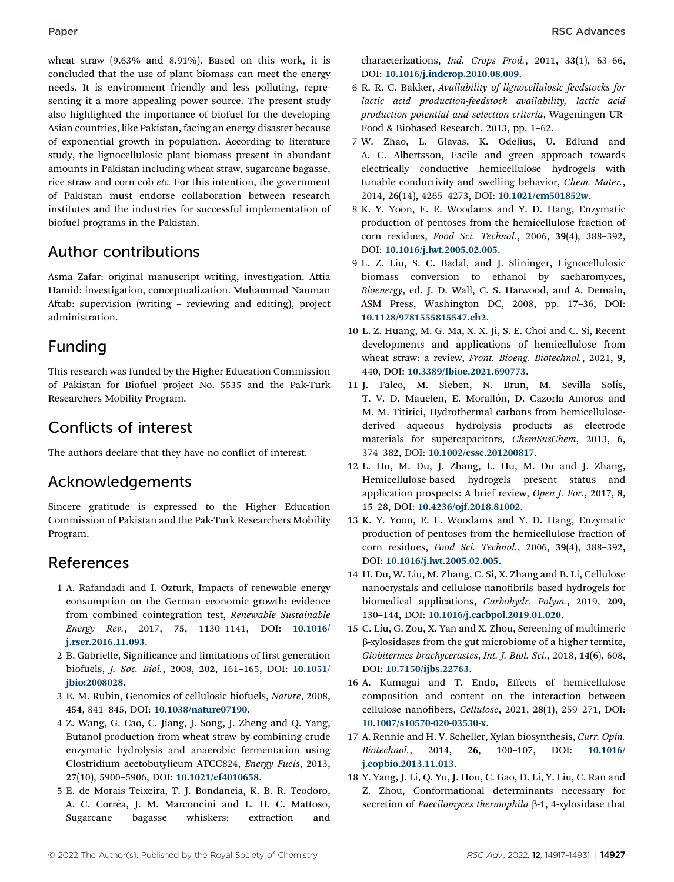wheat straw (9.63% and 8.91%). Based on this work, it is concluded that the use of plant biomass can meet the energy needs. It is environment friendly and less polluting, representing it a more appealing power source. The present study also highlighted the importance of biofuel for the developing Asian countries, like Pakistan, facing an energy disaster because of exponential growth in population. According to literature study, the lignocellulosic plant biomass present in abundant amounts in Pakistan including wheat straw, sugarcane bagasse, rice straw and corn cob etc. For this intention, the government of Pakistan must endorse collaboration between research institutes and the industries for successful implementation of biofuel programs in the Pakistan.

### Author contributions

Asma Zafar: original manuscript writing, investigation. Attia Hamid: investigation, conceptualization. Muhammad Nauman Aftab: supervision (writing - reviewing and editing), project administration.

### Funding

This research was funded by the Higher Education Commission of Pakistan for Biofuel project No. 5535 and the Pak-Turk Researchers Mobility Program.

## Conflicts of interest

The authors declare that they have no conflict of interest.

### Acknowledgements

Sincere gratitude is expressed to the Higher Education Commission of Pakistan and the Pak-Turk Researchers Mobility Program.

### References

- 1 A. Rafandadi and I. Ozturk, Impacts of renewable energy consumption on the German economic growth: evidence from combined cointegration test, Renewable Sustainable Energy Rev., 2017, 75, 1130–1141, DOI: [10.1016/](https://doi.org/10.1016/j.rser.2016.11.093) [j.rser.2016.11.093](https://doi.org/10.1016/j.rser.2016.11.093).
- 2 B. Gabrielle, Significance and limitations of first generation biofuels, J. Soc. Biol., 2008, 202, 161–165, DOI: [10.1051/](https://doi.org/10.1051/jbio:2008028) [jbio:2008028](https://doi.org/10.1051/jbio:2008028).
- 3 E. M. Rubin, Genomics of cellulosic biofuels, Nature, 2008, 454, 841–845, DOI: [10.1038/nature07190](https://doi.org/10.1038/nature07190).
- 4 Z. Wang, G. Cao, C. Jiang, J. Song, J. Zheng and Q. Yang, Butanol production from wheat straw by combining crude enzymatic hydrolysis and anaerobic fermentation using Clostridium acetobutylicum ATCC824, Energy Fuels, 2013, 27(10), 5900–5906, DOI: [10.1021/ef4010658](https://doi.org/10.1021/ef4010658).
- 5 E. de Morais Teixeira, T. J. Bondancia, K. B. R. Teodoro, A. C. Corrêa, J. M. Marconcini and L. H. C. Mattoso, Sugarcane bagasse whiskers: extraction and

characterizations, Ind. Crops Prod., 2011, 33(1), 63-66, DOI: [10.1016/j.indcrop.2010.08.009](https://doi.org/10.1016/j.indcrop.2010.08.009).

- 6 R. R. C. Bakker, Availability of lignocellulosic feedstocks for lactic acid production-feedstock availability, lactic acid production potential and selection criteria, Wageningen UR-Food & Biobased Research. 2013, pp. 1–62.
- 7 W. Zhao, L. Glavas, K. Odelius, U. Edlund and A. C. Albertsson, Facile and green approach towards electrically conductive hemicellulose hydrogels with tunable conductivity and swelling behavior, Chem. Mater., 2014, 26(14), 4265–4273, DOI: [10.1021/cm501852w](https://doi.org/10.1021/cm501852w).
- 8 K. Y. Yoon, E. E. Woodams and Y. D. Hang, Enzymatic production of pentoses from the hemicellulose fraction of corn residues, Food Sci. Technol., 2006, 39(4), 388–392, DOI: [10.1016/j.lwt.2005.02.005](https://doi.org/10.1016/j.lwt.2005.02.005).
- 9 L. Z. Liu, S. C. Badal, and J. Slininger, Lignocellulosic biomass conversion to ethanol by sacharomyces, Bioenergy, ed. J. D. Wall, C. S. Harwood, and A. Demain, ASM Press, Washington DC, 2008, pp. 17–36, DOI: [10.1128/9781555815547.ch2](https://doi.org/10.1128/9781555815547.ch2).
- 10 L. Z. Huang, M. G. Ma, X. X. Ji, S. E. Choi and C. Si, Recent developments and applications of hemicellulose from wheat straw: a review, Front. Bioeng. Biotechnol., 2021, 9, 440, DOI: 10.3389/fb[ioe.2021.690773](https://doi.org/10.3389/fbioe.2021.690773).
- 11 J. Falco, M. Sieben, N. Brun, M. Sevilla Solís, T. V. D. Mauelen, E. Morallón, D. Cazorla Amoros and M. M. Titirici, Hydrothermal carbons from hemicellulosederived aqueous hydrolysis products as electrode materials for supercapacitors, ChemSusChem, 2013, 6, 374–382, DOI: [10.1002/cssc.201200817](https://doi.org/10.1002/cssc.201200817).
- 12 L. Hu, M. Du, J. Zhang, L. Hu, M. Du and J. Zhang, Hemicellulose-based hydrogels present status and application prospects: A brief review, Open J. For., 2017, 8, 15–28, DOI: [10.4236/ojf.2018.81002](https://doi.org/10.4236/ojf.2018.81002).
- 13 K. Y. Yoon, E. E. Woodams and Y. D. Hang, Enzymatic production of pentoses from the hemicellulose fraction of corn residues, Food Sci. Technol., 2006, 39(4), 388–392, DOI: [10.1016/j.lwt.2005.02.005](https://doi.org/10.1016/j.lwt.2005.02.005).
- 14 H. Du, W. Liu, M. Zhang, C. Si, X. Zhang and B. Li, Cellulose nanocrystals and cellulose nanofibrils based hydrogels for biomedical applications, Carbohydr. Polym., 2019, 209, 130–144, DOI: [10.1016/j.carbpol.2019.01.020](https://doi.org/10.1016/j.carbpol.2019.01.020).
- 15 C. Liu, G. Zou, X. Yan and X. Zhou, Screening of multimeric b-xylosidases from the gut microbiome of a higher termite, Globitermes brachycerastes, Int. J. Biol. Sci., 2018, 14(6), 608, DOI: [10.7150/ijbs.22763](https://doi.org/10.7150/ijbs.22763).
- 16 A. Kumagai and T. Endo, Effects of hemicellulose composition and content on the interaction between cellulose nanofibers, Cellulose, 2021, 28 $(1)$ , 259-271, DOI: [10.1007/s10570-020-03530-x](https://doi.org/10.1007/s10570-020-03530-x).
- 17 A. Rennie and H. V. Scheller, Xylan biosynthesis, Curr. Opin. Biotechnol., 2014, 26, 100–107, DOI: [10.1016/](https://doi.org/10.1016/j.copbio.2013.11.013) [j.copbio.2013.11.013](https://doi.org/10.1016/j.copbio.2013.11.013).
- 18 Y. Yang, J. Li, Q. Yu, J. Hou, C. Gao, D. Li, Y. Liu, C. Ran and Z. Zhou, Conformational determinants necessary for secretion of Paecilomyces thermophila  $\beta$ -1, 4-xylosidase that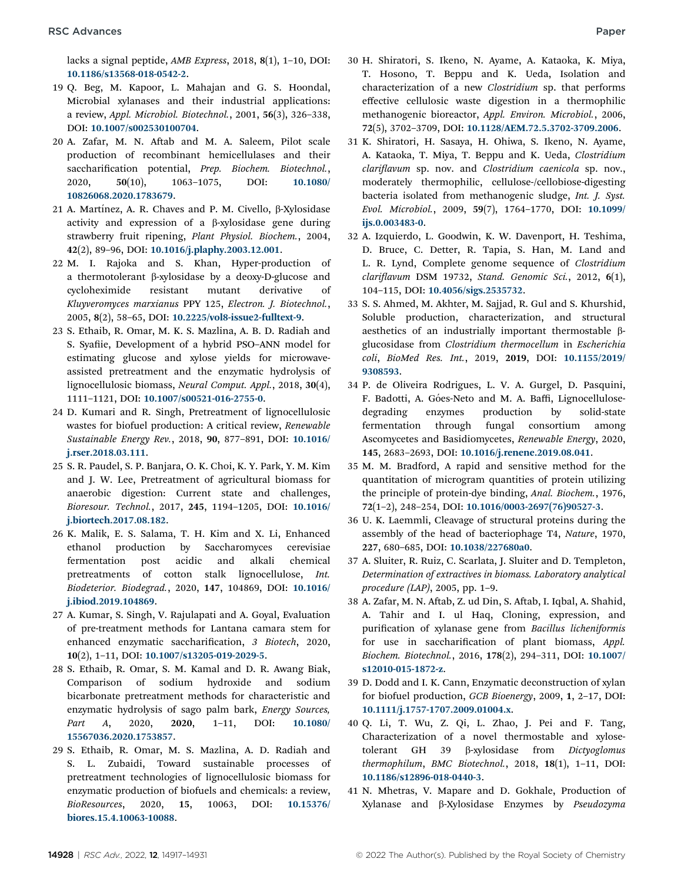lacks a signal peptide, AMB Express, 2018, 8(1), 1–10, DOI: [10.1186/s13568-018-0542-2](https://doi.org/10.1186/s13568-018-0542-2).

- 19 Q. Beg, M. Kapoor, L. Mahajan and G. S. Hoondal, Microbial xylanases and their industrial applications: a review, Appl. Microbiol. Biotechnol., 2001, 56(3), 326–338, DOI: [10.1007/s002530100704](https://doi.org/10.1007/s002530100704).
- 20 A. Zafar, M. N. Aftab and M. A. Saleem, Pilot scale production of recombinant hemicellulases and their saccharification potential, Prep. Biochem. Biotechnol., 2020, 50(10), 1063–1075, DOI: [10.1080/](https://doi.org/10.1080/10826068.2020.1783679) [10826068.2020.1783679](https://doi.org/10.1080/10826068.2020.1783679).
- 21 A. Martínez, A. R. Chaves and P. M. Civello,  $\beta$ -Xylosidase activity and expression of a  $\beta$ -xylosidase gene during strawberry fruit ripening, Plant Physiol. Biochem., 2004, 42(2), 89–96, DOI: [10.1016/j.plaphy.2003.12.001](https://doi.org/10.1016/j.plaphy.2003.12.001).
- 22 M. I. Rajoka and S. Khan, Hyper-production of a thermotolerant  $\beta$ -xylosidase by a deoxy-D-glucose and cycloheximide resistant mutant derivative of Kluyveromyces marxianus PPY 125, Electron. J. Biotechnol., 2005, 8(2), 58–65, DOI: [10.2225/vol8-issue2-fulltext-9](https://doi.org/10.2225/vol8-issue2-fulltext-9).
- 23 S. Ethaib, R. Omar, M. K. S. Mazlina, A. B. D. Radiah and S. Syafiie, Development of a hybrid PSO-ANN model for estimating glucose and xylose yields for microwaveassisted pretreatment and the enzymatic hydrolysis of lignocellulosic biomass, Neural Comput. Appl., 2018, 30(4), 1111–1121, DOI: [10.1007/s00521-016-2755-0](https://doi.org/10.1007/s00521-016-2755-0).
- 24 D. Kumari and R. Singh, Pretreatment of lignocellulosic wastes for biofuel production: A critical review, Renewable Sustainable Energy Rev., 2018, 90, 877–891, DOI: [10.1016/](https://doi.org/10.1016/j.rser.2018.03.111) [j.rser.2018.03.111](https://doi.org/10.1016/j.rser.2018.03.111).
- 25 S. R. Paudel, S. P. Banjara, O. K. Choi, K. Y. Park, Y. M. Kim and J. W. Lee, Pretreatment of agricultural biomass for anaerobic digestion: Current state and challenges, Bioresour. Technol., 2017, 245, 1194–1205, DOI: [10.1016/](https://doi.org/10.1016/j.biortech.2017.08.182) [j.biortech.2017.08.182](https://doi.org/10.1016/j.biortech.2017.08.182).
- 26 K. Malik, E. S. Salama, T. H. Kim and X. Li, Enhanced ethanol production by Saccharomyces cerevisiae fermentation post acidic and alkali chemical pretreatments of cotton stalk lignocellulose, Int. Biodeterior. Biodegrad., 2020, 147, 104869, DOI: [10.1016/](https://doi.org/10.1016/j.ibiod.2019.104869) [j.ibiod.2019.104869](https://doi.org/10.1016/j.ibiod.2019.104869).
- 27 A. Kumar, S. Singh, V. Rajulapati and A. Goyal, Evaluation of pre-treatment methods for Lantana camara stem for enhanced enzymatic saccharification, 3 Biotech, 2020, 10(2), 1–11, DOI: [10.1007/s13205-019-2029-5](https://doi.org/10.1007/s13205-019-2029-5).
- 28 S. Ethaib, R. Omar, S. M. Kamal and D. R. Awang Biak, Comparison of sodium hydroxide and sodium bicarbonate pretreatment methods for characteristic and enzymatic hydrolysis of sago palm bark, Energy Sources, Part A, 2020, 2020, 1-11, DOI: [10.1080/](https://doi.org/10.1080/15567036.2020.1753857) [15567036.2020.1753857](https://doi.org/10.1080/15567036.2020.1753857).
- 29 S. Ethaib, R. Omar, M. S. Mazlina, A. D. Radiah and S. L. Zubaidi, Toward sustainable processes of pretreatment technologies of lignocellulosic biomass for enzymatic production of biofuels and chemicals: a review, BioResources, 2020, 15, 10063, DOI: [10.15376/](https://doi.org/10.15376/biores.15.4.10063-10088) [biores.15.4.10063-10088](https://doi.org/10.15376/biores.15.4.10063-10088).
- 30 H. Shiratori, S. Ikeno, N. Ayame, A. Kataoka, K. Miya, T. Hosono, T. Beppu and K. Ueda, Isolation and characterization of a new Clostridium sp. that performs effective cellulosic waste digestion in a thermophilic methanogenic bioreactor, Appl. Environ. Microbiol., 2006, 72(5), 3702–3709, DOI: [10.1128/AEM.72.5.3702-3709.2006](https://doi.org/10.1128/AEM.72.5.3702-3709.2006).
- 31 K. Shiratori, H. Sasaya, H. Ohiwa, S. Ikeno, N. Ayame, A. Kataoka, T. Miya, T. Beppu and K. Ueda, Clostridium clariflavum sp. nov. and Clostridium caenicola sp. nov., moderately thermophilic, cellulose-/cellobiose-digesting bacteria isolated from methanogenic sludge, Int. J. Syst. Evol. Microbiol., 2009, 59(7), 1764–1770, DOI: [10.1099/](https://doi.org/10.1099/ijs.0.003483-0) [ijs.0.003483-0](https://doi.org/10.1099/ijs.0.003483-0).
- 32 A. Izquierdo, L. Goodwin, K. W. Davenport, H. Teshima, D. Bruce, C. Detter, R. Tapia, S. Han, M. Land and L. R. Lynd, Complete genome sequence of Clostridium  $clariflavum$  DSM 19732, Stand. Genomic Sci., 2012,  $6(1)$ , 104–115, DOI: [10.4056/sigs.2535732](https://doi.org/10.4056/sigs.2535732).
- 33 S. S. Ahmed, M. Akhter, M. Sajjad, R. Gul and S. Khurshid, Soluble production, characterization, and structural aesthetics of an industrially important thermostable  $\beta$ glucosidase from Clostridium thermocellum in Escherichia coli, BioMed Res. Int., 2019, 2019, DOI: [10.1155/2019/](https://doi.org/10.1155/2019/9308593) [9308593](https://doi.org/10.1155/2019/9308593).
- 34 P. de Oliveira Rodrigues, L. V. A. Gurgel, D. Pasquini, F. Badotti, A. Góes-Neto and M. A. Baffi, Lignocellulosedegrading enzymes production by solid-state fermentation through fungal consortium among Ascomycetes and Basidiomycetes, Renewable Energy, 2020, 145, 2683–2693, DOI: [10.1016/j.renene.2019.08.041](https://doi.org/10.1016/j.renene.2019.08.041).
- 35 M. M. Bradford, A rapid and sensitive method for the quantitation of microgram quantities of protein utilizing the principle of protein-dye binding, Anal. Biochem., 1976, 72(1–2), 248–254, DOI: [10.1016/0003-2697\(76\)90527-3](https://doi.org/10.1016/0003-2697(76)90527-3).
- 36 U. K. Laemmli, Cleavage of structural proteins during the assembly of the head of bacteriophage T4, Nature, 1970, 227, 680–685, DOI: [10.1038/227680a0](https://doi.org/10.1038/227680a0).
- 37 A. Sluiter, R. Ruiz, C. Scarlata, J. Sluiter and D. Templeton, Determination of extractives in biomass. Laboratory analytical procedure (LAP), 2005, pp. 1–9.
- 38 A. Zafar, M. N. Aftab, Z. ud Din, S. Aftab, I. Iqbal, A. Shahid, A. Tahir and I. ul Haq, Cloning, expression, and purification of xylanase gene from Bacillus licheniformis for use in saccharification of plant biomass, Appl. Biochem. Biotechnol., 2016, 178(2), 294–311, DOI: [10.1007/](https://doi.org/10.1007/s12010-015-1872-z) [s12010-015-1872-z](https://doi.org/10.1007/s12010-015-1872-z).
- 39 D. Dodd and I. K. Cann, Enzymatic deconstruction of xylan for biofuel production, GCB Bioenergy, 2009, 1, 2–17, DOI: [10.1111/j.1757-1707.2009.01004.x](https://doi.org/10.1111/j.1757-1707.2009.01004.x).
- 40 Q. Li, T. Wu, Z. Qi, L. Zhao, J. Pei and F. Tang, Characterization of a novel thermostable and xylosetolerant GH 39 b-xylosidase from Dictyoglomus thermophilum, BMC Biotechnol., 2018, 18(1), 1–11, DOI: [10.1186/s12896-018-0440-3](https://doi.org/10.1186/s12896-018-0440-3).
- 41 N. Mhetras, V. Mapare and D. Gokhale, Production of Xylanase and b-Xylosidase Enzymes by Pseudozyma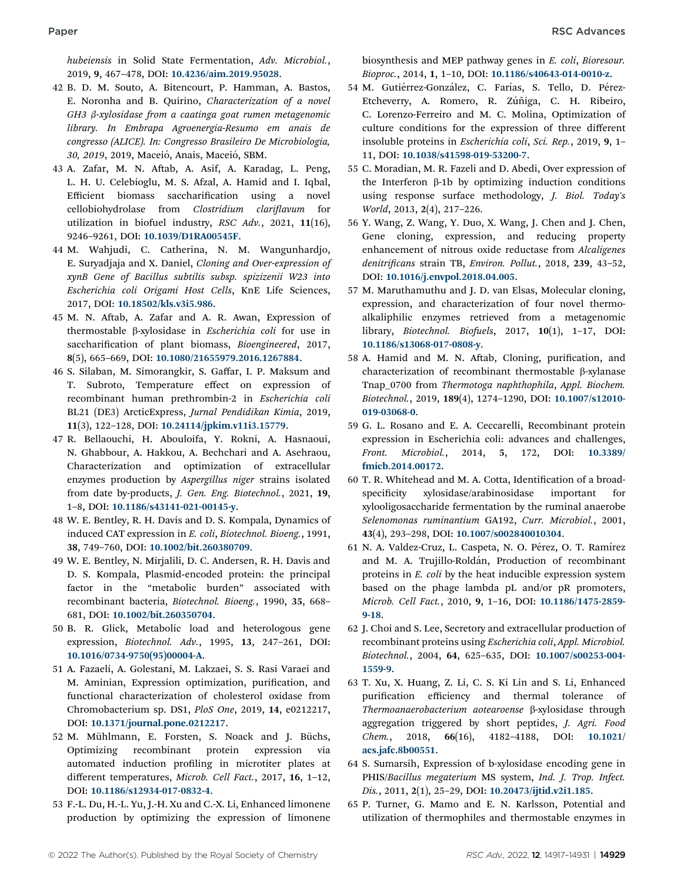hubeiensis in Solid State Fermentation, Adv. Microbiol., 2019, 9, 467–478, DOI: [10.4236/aim.2019.95028](https://doi.org/10.4236/aim.2019.95028).

- 42 B. D. M. Souto, A. Bitencourt, P. Hamman, A. Bastos, E. Noronha and B. Quirino, Characterization of a novel  $GH3$   $\beta$ -xylosidase from a caatinga goat rumen metagenomic library. In Embrapa Agroenergia-Resumo em anais de congresso (ALICE). In: Congresso Brasileiro De Microbiologia, 30, 2019, 2019, Maceió, Anais, Maceió, SBM.
- 43 A. Zafar, M. N. Aftab, A. Asif, A. Karadag, L. Peng, L. H. U. Celebioglu, M. S. Afzal, A. Hamid and I. Iqbal, Efficient biomass saccharification using a novel cellobiohydrolase from Clostridium clariflavum for utilization in biofuel industry, RSC Adv., 2021, 11(16), 9246–9261, DOI: [10.1039/D1RA00545F](https://doi.org/10.1039/D1RA00545F).
- 44 M. Wahjudi, C. Catherina, N. M. Wangunhardjo, E. Suryadjaja and X. Daniel, Cloning and Over-expression of xynB Gene of Bacillus subtilis subsp. spizizenii W23 into Escherichia coli Origami Host Cells, KnE Life Sciences, 2017, DOI: [10.18502/kls.v3i5.986](https://doi.org/10.18502/kls.v3i5.986).
- 45 M. N. Aftab, A. Zafar and A. R. Awan, Expression of thermostable b-xylosidase in Escherichia coli for use in saccharification of plant biomass, Bioengineered, 2017, 8(5), 665–669, DOI: [10.1080/21655979.2016.1267884](https://doi.org/10.1080/21655979.2016.1267884).
- 46 S. Silaban, M. Simorangkir, S. Gaffar, I. P. Maksum and T. Subroto, Temperature effect on expression of recombinant human prethrombin-2 in Escherichia coli BL21 (DE3) ArcticExpress, Jurnal Pendidikan Kimia, 2019, 11(3), 122–128, DOI: [10.24114/jpkim.v11i3.15779](https://doi.org/10.24114/jpkim.v11i3.15779).
- 47 R. Bellaouchi, H. Abouloifa, Y. Rokni, A. Hasnaoui, N. Ghabbour, A. Hakkou, A. Bechchari and A. Asehraou, Characterization and optimization of extracellular enzymes production by Aspergillus niger strains isolated from date by-products, J. Gen. Eng. Biotechnol., 2021, 19, 1–8, DOI: [10.1186/s43141-021-00145-y](https://doi.org/10.1186/s43141-021-00145-y).
- 48 W. E. Bentley, R. H. Davis and D. S. Kompala, Dynamics of induced CAT expression in E. coli, Biotechnol. Bioeng., 1991, 38, 749–760, DOI: [10.1002/bit.260380709](https://doi.org/10.1002/bit.260380709).
- 49 W. E. Bentley, N. Mirjalili, D. C. Andersen, R. H. Davis and D. S. Kompala, Plasmid-encoded protein: the principal factor in the "metabolic burden" associated with recombinant bacteria, Biotechnol. Bioeng., 1990, 35, 668– 681, DOI: [10.1002/bit.260350704](https://doi.org/10.1002/bit.260350704).
- 50 B. R. Glick, Metabolic load and heterologous gene expression, Biotechnol. Adv., 1995, 13, 247–261, DOI: [10.1016/0734-9750\(95\)00004-A](https://doi.org/10.1016/0734-9750(95)00004-A).
- 51 A. Fazaeli, A. Golestani, M. Lakzaei, S. S. Rasi Varaei and M. Aminian, Expression optimization, purification, and functional characterization of cholesterol oxidase from Chromobacterium sp. DS1, PloS One, 2019, 14, e0212217, DOI: [10.1371/journal.pone.0212217](https://doi.org/10.1371/journal.pone.0212217).
- 52 M. Mühlmann, E. Forsten, S. Noack and J. Büchs, Optimizing recombinant protein expression via automated induction profiling in microtiter plates at different temperatures, Microb. Cell Fact., 2017, 16, 1-12, DOI: [10.1186/s12934-017-0832-4](https://doi.org/10.1186/s12934-017-0832-4).
- 53 F.-L. Du, H.-L. Yu, J.-H. Xu and C.-X. Li, Enhanced limonene production by optimizing the expression of limonene

biosynthesis and MEP pathway genes in E. coli, Bioresour. Bioproc., 2014, 1, 1–10, DOI: [10.1186/s40643-014-0010-z](https://doi.org/10.1186/s40643-014-0010-z).

- 54 M. Gutiérrez-González, C. Farías, S. Tello, D. Pérez-Etcheverry, A. Romero, R. Zúñiga, C. H. Ribeiro, C. Lorenzo-Ferreiro and M. C. Molina, Optimization of culture conditions for the expression of three different insoluble proteins in Escherichia coli, Sci. Rep., 2019, 9, 1– 11, DOI: [10.1038/s41598-019-53200-7](https://doi.org/10.1038/s41598-019-53200-7).
- 55 C. Moradian, M. R. Fazeli and D. Abedi, Over expression of the Interferon  $\beta$ -1b by optimizing induction conditions using response surface methodology, J. Biol. Today's World, 2013, 2(4), 217–226.
- 56 Y. Wang, Z. Wang, Y. Duo, X. Wang, J. Chen and J. Chen, Gene cloning, expression, and reducing property enhancement of nitrous oxide reductase from Alcaligenes denitrificans strain TB, Environ. Pollut., 2018, 239, 43-52, DOI: [10.1016/j.envpol.2018.04.005](https://doi.org/10.1016/j.envpol.2018.04.005).
- 57 M. Maruthamuthu and J. D. van Elsas, Molecular cloning, expression, and characterization of four novel thermoalkaliphilic enzymes retrieved from a metagenomic library, Biotechnol. Biofuels, 2017, 10(1), 1–17, DOI: [10.1186/s13068-017-0808-y](https://doi.org/10.1186/s13068-017-0808-y).
- 58 A. Hamid and M. N. Aftab, Cloning, purification, and characterization of recombinant thermostable  $\beta$ -xylanase Tnap\_0700 from Thermotoga naphthophila, Appl. Biochem. Biotechnol., 2019, 189(4), 1274–1290, DOI: [10.1007/s12010-](https://doi.org/10.1007/s12010-019-03068-0) [019-03068-0](https://doi.org/10.1007/s12010-019-03068-0).
- 59 G. L. Rosano and E. A. Ceccarelli, Recombinant protein expression in Escherichia coli: advances and challenges, Front. Microbiol., 2014, 5, 172, DOI: [10.3389/](https://doi.org/10.3389/fmicb.2014.00172) [fmicb.2014.00172](https://doi.org/10.3389/fmicb.2014.00172).
- 60 T. R. Whitehead and M. A. Cotta, Identification of a broadspecificity xylosidase/arabinosidase important for xylooligosaccharide fermentation by the ruminal anaerobe Selenomonas ruminantium GA192, Curr. Microbiol., 2001, 43(4), 293–298, DOI: [10.1007/s002840010304](https://doi.org/10.1007/s002840010304).
- 61 N. A. Valdez-Cruz, L. Caspeta, N. O. Pérez, O. T. Ramírez and M. A. Trujillo-Roldán, Production of recombinant proteins in E. coli by the heat inducible expression system based on the phage lambda pL and/or pR promoters, Microb. Cell Fact., 2010, 9, 1–16, DOI: [10.1186/1475-2859-](https://doi.org/10.1186/1475-2859-9-18) [9-18](https://doi.org/10.1186/1475-2859-9-18).
- 62 J. Choi and S. Lee, Secretory and extracellular production of recombinant proteins using Escherichia coli, Appl. Microbiol. Biotechnol., 2004, 64, 625–635, DOI: [10.1007/s00253-004-](https://doi.org/10.1007/s00253-004-1559-9) [1559-9](https://doi.org/10.1007/s00253-004-1559-9).
- 63 T. Xu, X. Huang, Z. Li, C. S. Ki Lin and S. Li, Enhanced purification efficiency and thermal tolerance of Thermoanaerobacterium aotearoense ß-xylosidase through aggregation triggered by short peptides, J. Agri. Food Chem., 2018, 66(16), 4182–4188, DOI: [10.1021/](https://doi.org/10.1021/acs.jafc.8b00551) [acs.jafc.8b00551](https://doi.org/10.1021/acs.jafc.8b00551).
- 64 S. Sumarsih, Expression of b-xylosidase encoding gene in PHIS/Bacillus megaterium MS system, Ind. J. Trop. Infect. Dis., 2011, 2(1), 25–29, DOI: [10.20473/ijtid.v2i1.185](https://doi.org/10.20473/ijtid.v2i1.185).
- 65 P. Turner, G. Mamo and E. N. Karlsson, Potential and utilization of thermophiles and thermostable enzymes in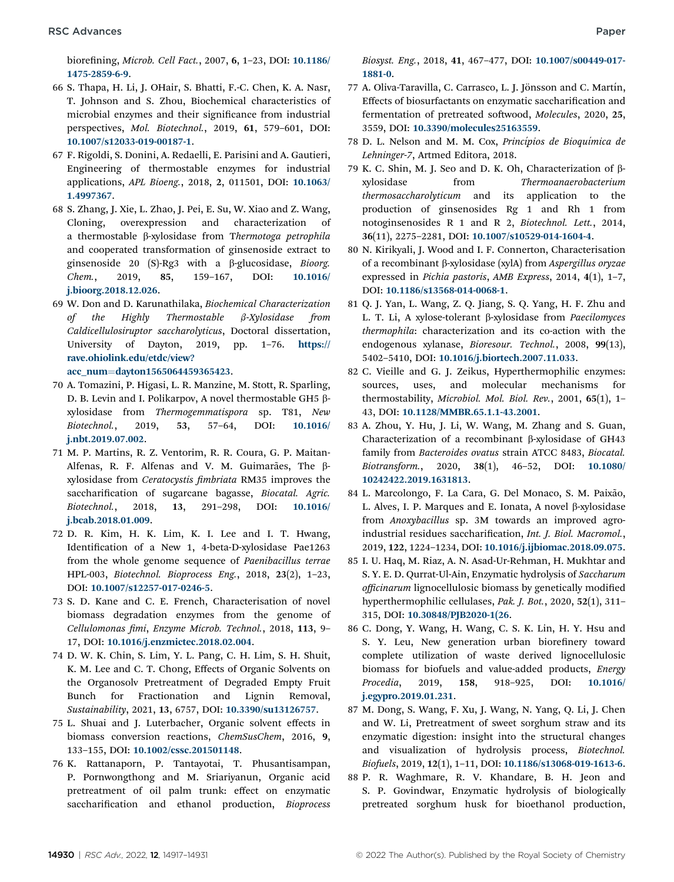biorefining, Microb. Cell Fact., 2007, 6, 1-23, DOI: [10.1186/](https://doi.org/10.1186/1475-2859-6-9) [1475-2859-6-9](https://doi.org/10.1186/1475-2859-6-9).

- 66 S. Thapa, H. Li, J. OHair, S. Bhatti, F.-C. Chen, K. A. Nasr, T. Johnson and S. Zhou, Biochemical characteristics of microbial enzymes and their significance from industrial perspectives, Mol. Biotechnol., 2019, 61, 579–601, DOI: [10.1007/s12033-019-00187-1](https://doi.org/10.1007/s12033-019-00187-1).
- 67 F. Rigoldi, S. Donini, A. Redaelli, E. Parisini and A. Gautieri, Engineering of thermostable enzymes for industrial applications, APL Bioeng., 2018, 2, 011501, DOI: [10.1063/](https://doi.org/10.1063/1.4997367) [1.4997367](https://doi.org/10.1063/1.4997367).
- 68 S. Zhang, J. Xie, L. Zhao, J. Pei, E. Su, W. Xiao and Z. Wang, Cloning, overexpression and characterization of a thermostable  $\beta$ -xylosidase from Thermotoga petrophila and cooperated transformation of ginsenoside extract to ginsenoside 20 (S)-Rg3 with a  $\beta$ -glucosidase, *Bioorg.* Chem., 2019, 85, 159–167, DOI: [10.1016/](https://doi.org/10.1016/j.bioorg.2018.12.026) [j.bioorg.2018.12.026](https://doi.org/10.1016/j.bioorg.2018.12.026).
- 69 W. Don and D. Karunathilaka, Biochemical Characterization of the Highly Thermostable  $\beta$ -Xylosidase from Caldicellulosiruptor saccharolyticus, Doctoral dissertation, University of Dayton, 2019, pp. 1–76. [https://](http://rave.ohiolink.edu/etdc/view?acc_num=dayton1565064459365423) [rave.ohiolink.edu/etdc/view?](http://rave.ohiolink.edu/etdc/view?acc_num=dayton1565064459365423) [acc\\_num](http://rave.ohiolink.edu/etdc/view?acc_num=dayton1565064459365423)=[dayton1565064459365423](http://rave.ohiolink.edu/etdc/view?acc_num=dayton1565064459365423).
- 70 A. Tomazini, P. Higasi, L. R. Manzine, M. Stott, R. Sparling, D. B. Levin and I. Polikarpov, A novel thermostable GH5  $\beta$ xylosidase from Thermogemmatispora sp. T81, New Biotechnol., 2019, 53, 57–64, DOI: [10.1016/](https://doi.org/10.1016/j.nbt.2019.07.002) [j.nbt.2019.07.002](https://doi.org/10.1016/j.nbt.2019.07.002).
- 71 M. P. Martins, R. Z. Ventorim, R. R. Coura, G. P. Maitan-Alfenas, R. F. Alfenas and V. M. Guimarães, The  $\beta$ xylosidase from Ceratocystis fimbriata RM35 improves the saccharification of sugarcane bagasse, Biocatal. Agric. Biotechnol., 2018, 13, 291–298, DOI: [10.1016/](https://doi.org/10.1016/j.bcab.2018.01.009) [j.bcab.2018.01.009](https://doi.org/10.1016/j.bcab.2018.01.009).
- 72 D. R. Kim, H. K. Lim, K. I. Lee and I. T. Hwang, Identification of a New 1, 4-beta-D-xylosidase Pae1263 from the whole genome sequence of Paenibacillus terrae HPL-003, Biotechnol. Bioprocess Eng., 2018, 23(2), 1–23, DOI: [10.1007/s12257-017-0246-5](https://doi.org/10.1007/s12257-017-0246-5).
- 73 S. D. Kane and C. E. French, Characterisation of novel biomass degradation enzymes from the genome of Cellulomonas fimi, Enzyme Microb. Technol., 2018, 113, 9-17, DOI: [10.1016/j.enzmictec.2018.02.004](https://doi.org/10.1016/j.enzmictec.2018.02.004).
- 74 D. W. K. Chin, S. Lim, Y. L. Pang, C. H. Lim, S. H. Shuit, K. M. Lee and C. T. Chong, Effects of Organic Solvents on the Organosolv Pretreatment of Degraded Empty Fruit Bunch for Fractionation and Lignin Removal, Sustainability, 2021, 13, 6757, DOI: [10.3390/su13126757](https://doi.org/10.3390/su13126757).
- 75 L. Shuai and J. Luterbacher, Organic solvent effects in biomass conversion reactions, ChemSusChem, 2016, 9, 133–155, DOI: [10.1002/cssc.201501148](https://doi.org/10.1002/cssc.201501148).
- 76 K. Rattanaporn, P. Tantayotai, T. Phusantisampan, P. Pornwongthong and M. Sriariyanun, Organic acid pretreatment of oil palm trunk: effect on enzymatic saccharification and ethanol production, Bioprocess

Biosyst. Eng., 2018, 41, 467–477, DOI: [10.1007/s00449-017-](https://doi.org/10.1007/s00449-017-1881-0) [1881-0](https://doi.org/10.1007/s00449-017-1881-0).

- 77 A. Oliva-Taravilla, C. Carrasco, L. J. Jönsson and C. Martín, Effects of biosurfactants on enzymatic saccharification and fermentation of pretreated softwood, Molecules, 2020, 25, 3559, DOI: [10.3390/molecules25163559](https://doi.org/10.3390/molecules25163559).
- 78 D. L. Nelson and M. M. Cox, Princípios de Bioquímica de Lehninger-7, Artmed Editora, 2018.
- 79 K. C. Shin, M. J. Seo and D. K. Oh, Characterization of bxylosidase from Thermoanaerobacterium thermosaccharolyticum and its application to the production of ginsenosides Rg 1 and Rh 1 from notoginsenosides R 1 and R 2, Biotechnol. Lett., 2014, 36(11), 2275–2281, DOI: [10.1007/s10529-014-1604-4](https://doi.org/10.1007/s10529-014-1604-4).
- 80 N. Kirikyali, J. Wood and I. F. Connerton, Characterisation of a recombinant b-xylosidase (xylA) from Aspergillus oryzae expressed in Pichia pastoris, AMB Express, 2014, 4(1), 1–7, DOI: [10.1186/s13568-014-0068-1](https://doi.org/10.1186/s13568-014-0068-1).
- 81 Q. J. Yan, L. Wang, Z. Q. Jiang, S. Q. Yang, H. F. Zhu and L. T. Li, A xylose-tolerant  $\beta$ -xylosidase from *Paecilomyces* thermophila: characterization and its co-action with the endogenous xylanase, Bioresour. Technol., 2008, 99(13), 5402–5410, DOI: [10.1016/j.biortech.2007.11.033](https://doi.org/10.1016/j.biortech.2007.11.033).
- 82 C. Vieille and G. J. Zeikus, Hyperthermophilic enzymes: sources, uses, and molecular mechanisms for thermostability, Microbiol. Mol. Biol. Rev., 2001, 65(1), 1– 43, DOI: [10.1128/MMBR.65.1.1-43.2001](https://doi.org/10.1128/MMBR.65.1.1-43.2001).
- 83 A. Zhou, Y. Hu, J. Li, W. Wang, M. Zhang and S. Guan, Characterization of a recombinant  $\beta$ -xylosidase of GH43 family from Bacteroides ovatus strain ATCC 8483, Biocatal. Biotransform., 2020, 38(1), 46–52, DOI: [10.1080/](https://doi.org/10.1080/10242422.2019.1631813) [10242422.2019.1631813](https://doi.org/10.1080/10242422.2019.1631813).
- 84 L. Marcolongo, F. La Cara, G. Del Monaco, S. M. Paixão, L. Alves, I. P. Marques and E. Ionata, A novel  $\beta$ -xylosidase from Anoxybacillus sp. 3M towards an improved agroindustrial residues saccharification, Int. J. Biol. Macromol., 2019, 122, 1224–1234, DOI: [10.1016/j.ijbiomac.2018.09.075](https://doi.org/10.1016/j.ijbiomac.2018.09.075).
- 85 I. U. Haq, M. Riaz, A. N. Asad-Ur-Rehman, H. Mukhtar and S. Y. E. D. Qurrat-Ul-Ain, Enzymatic hydrolysis of Saccharum officinarum lignocellulosic biomass by genetically modified hyperthermophilic cellulases, Pak. J. Bot., 2020, 52(1), 311– 315, DOI: [10.30848/PJB2020-1\(26](https://doi.org/10.30848/PJB2020-1(26).
- 86 C. Dong, Y. Wang, H. Wang, C. S. K. Lin, H. Y. Hsu and S. Y. Leu, New generation urban biorefinery toward complete utilization of waste derived lignocellulosic biomass for biofuels and value-added products, Energy Procedia, 2019, 158, 918–925, DOI: [10.1016/](https://doi.org/10.1016/j.egypro.2019.01.231) [j.egypro.2019.01.231](https://doi.org/10.1016/j.egypro.2019.01.231).
- 87 M. Dong, S. Wang, F. Xu, J. Wang, N. Yang, Q. Li, J. Chen and W. Li, Pretreatment of sweet sorghum straw and its enzymatic digestion: insight into the structural changes and visualization of hydrolysis process, Biotechnol. Biofuels, 2019, 12(1), 1–11, DOI: [10.1186/s13068-019-1613-6](https://doi.org/10.1186/s13068-019-1613-6).
- 88 P. R. Waghmare, R. V. Khandare, B. H. Jeon and S. P. Govindwar, Enzymatic hydrolysis of biologically pretreated sorghum husk for bioethanol production,